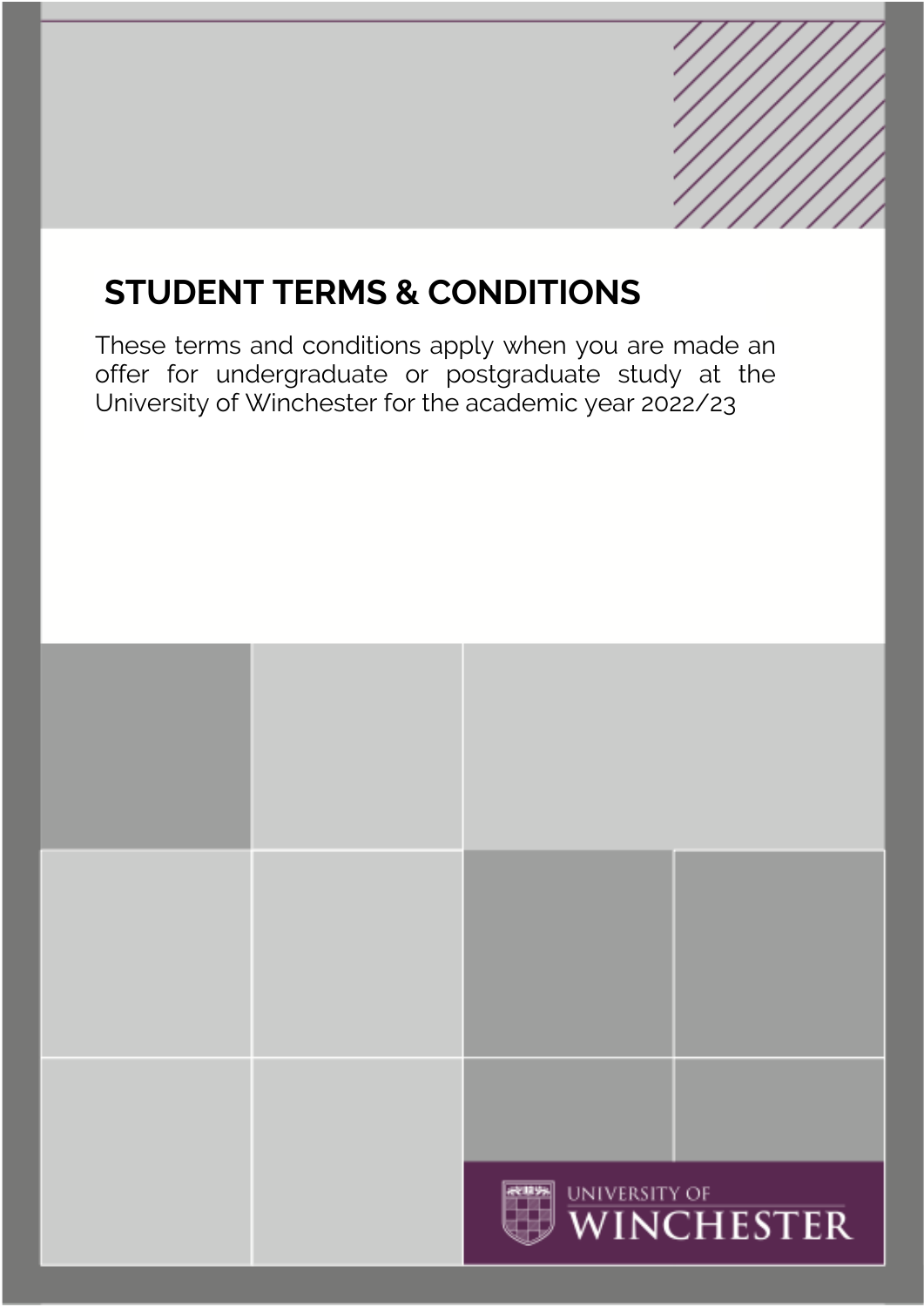# **STUDENT TERMS & CONDITIONS**

# These terms and conditions apply when you are made an offer for undergraduate or postgraduate study at the University of Winchester for the academic year 2022/23

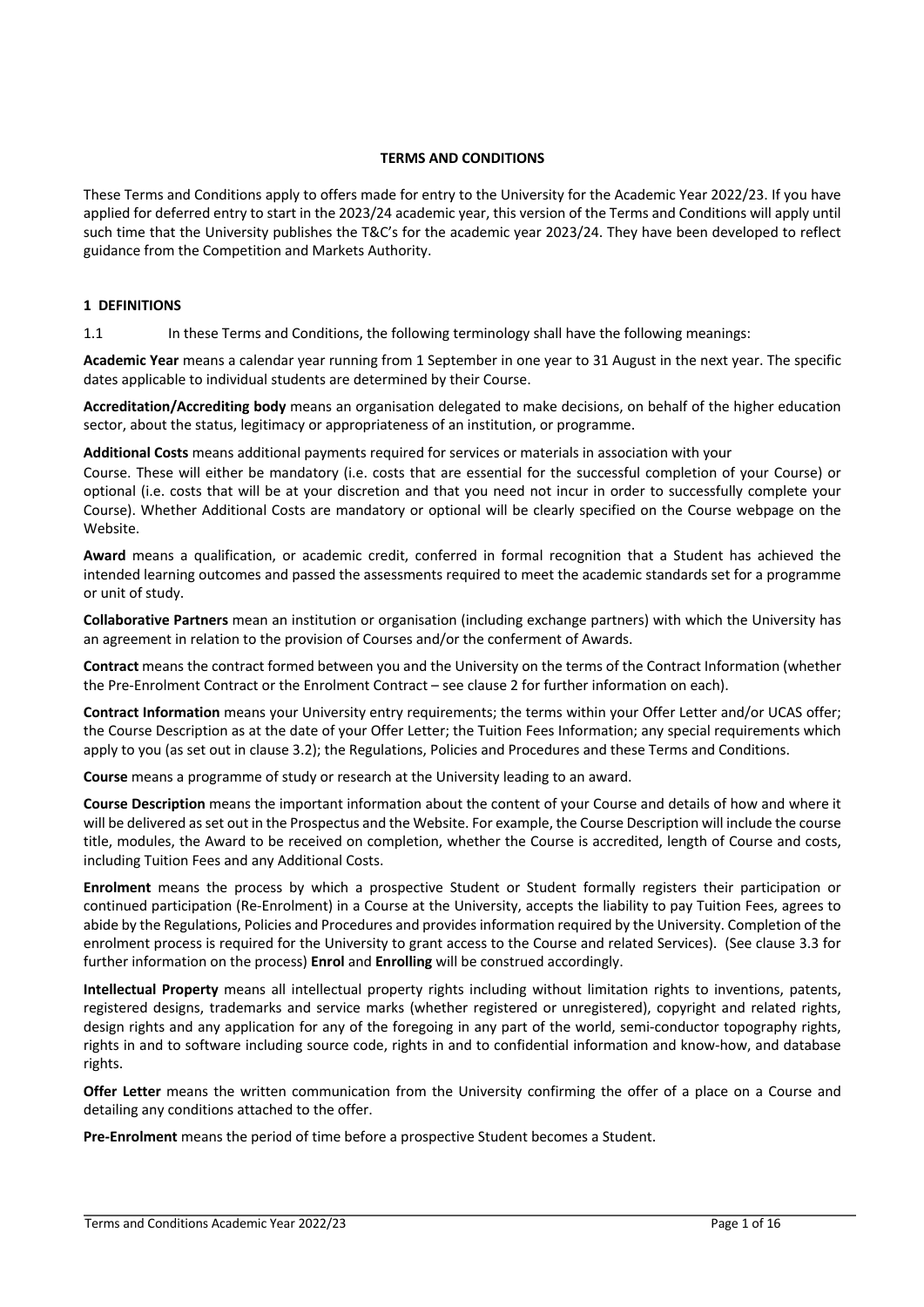# **TERMS AND CONDITIONS**

These Terms and Conditions apply to offers made for entry to the University for the Academic Year 2022/23. If you have applied for deferred entry to start in the 2023/24 academic year, this version of the Terms and Conditions will apply until such time that the University publishes the T&C's for the academic year 2023/24. They have been developed to reflect guidance from the Competition and Markets Authority.

# **1 DEFINITIONS**

1.1 In these Terms and Conditions, the following terminology shall have the following meanings:

**Academic Year** means a calendar year running from 1 September in one year to 31 August in the next year. The specific dates applicable to individual students are determined by their Course.

**Accreditation/Accrediting body** means an organisation delegated to make decisions, on behalf of the higher education sector, about the status, legitimacy or appropriateness of an institution, or programme.

**Additional Costs** means additional payments required for services or materials in association with your

Course. These will either be mandatory (i.e. costs that are essential for the successful completion of your Course) or optional (i.e. costs that will be at your discretion and that you need not incur in order to successfully complete your Course). Whether Additional Costs are mandatory or optional will be clearly specified on the Course webpage on the Website.

**Award** means a qualification, or academic credit, conferred in formal recognition that a Student has achieved the intended learning outcomes and passed the assessments required to meet the academic standards set for a programme or unit of study.

**Collaborative Partners** mean an institution or organisation (including exchange partners) with which the University has an agreement in relation to the provision of Courses and/or the conferment of Awards.

**Contract** means the contract formed between you and the University on the terms of the Contract Information (whether the Pre-Enrolment Contract or the Enrolment Contract – see clause 2 for further information on each).

**Contract Information** means your University entry requirements; the terms within your Offer Letter and/or UCAS offer; the Course Description as at the date of your Offer Letter; the Tuition Fees Information; any special requirements which apply to you (as set out in clause 3.2); the Regulations, Policies and Procedures and these Terms and Conditions.

**Course** means a programme of study or research at the University leading to an award.

**Course Description** means the important information about the content of your Course and details of how and where it will be delivered as set out in the Prospectus and the Website. For example, the Course Description will include the course title, modules, the Award to be received on completion, whether the Course is accredited, length of Course and costs, including Tuition Fees and any Additional Costs.

**Enrolment** means the process by which a prospective Student or Student formally registers their participation or continued participation (Re-Enrolment) in a Course at the University, accepts the liability to pay Tuition Fees, agrees to abide by the Regulations, Policies and Procedures and provides information required by the University. Completion of the enrolment process is required for the University to grant access to the Course and related Services). (See clause 3.3 for further information on the process) **Enrol** and **Enrolling** will be construed accordingly.

**Intellectual Property** means all intellectual property rights including without limitation rights to inventions, patents, registered designs, trademarks and service marks (whether registered or unregistered), copyright and related rights, design rights and any application for any of the foregoing in any part of the world, semi-conductor topography rights, rights in and to software including source code, rights in and to confidential information and know-how, and database rights.

**Offer Letter** means the written communication from the University confirming the offer of a place on a Course and detailing any conditions attached to the offer.

**Pre-Enrolment** means the period of time before a prospective Student becomes a Student.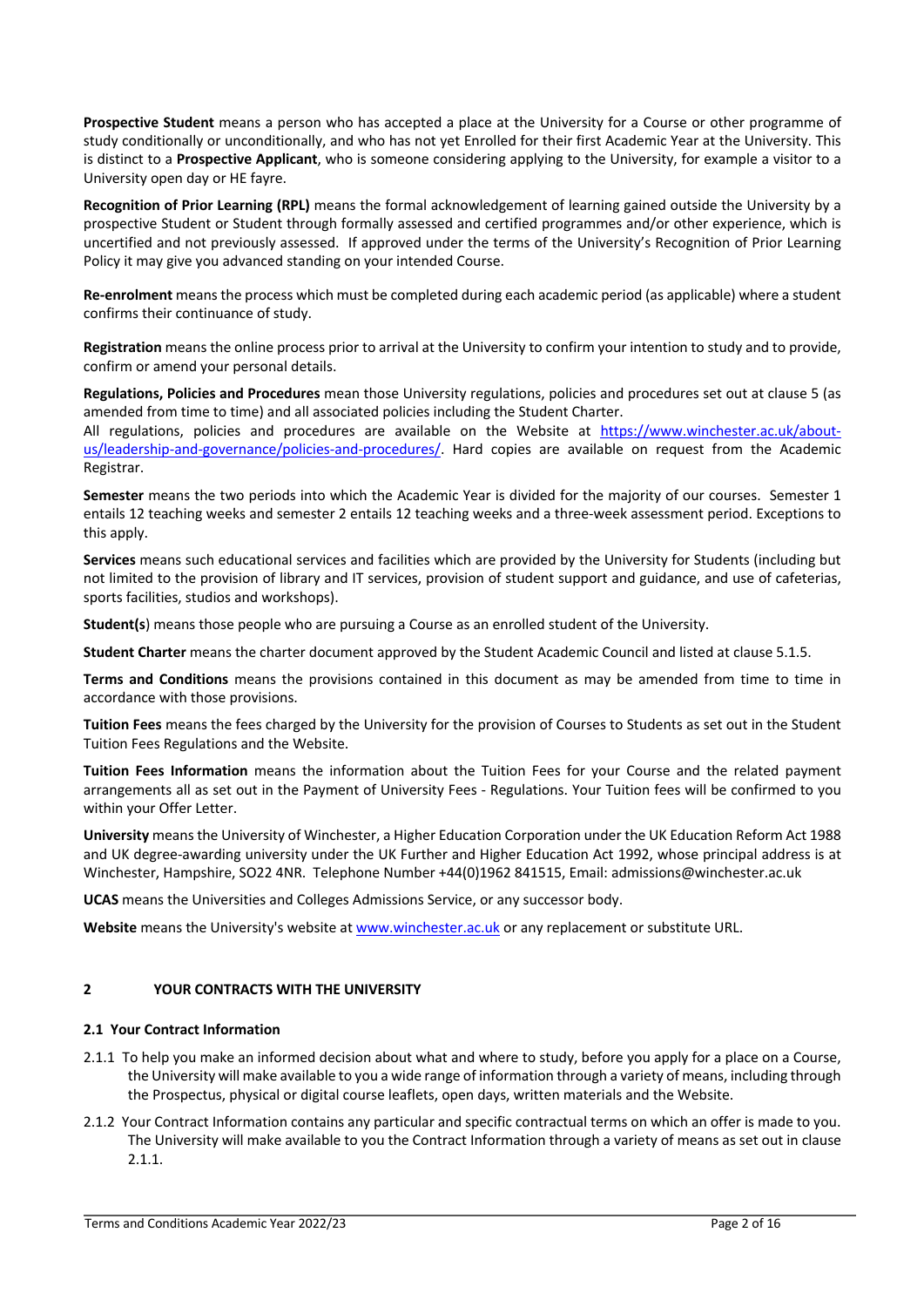**Prospective Student** means a person who has accepted a place at the University for a Course or other programme of study conditionally or unconditionally, and who has not yet Enrolled for their first Academic Year at the University. This is distinct to a **Prospective Applicant**, who is someone considering applying to the University, for example a visitor to a University open day or HE fayre.

**Recognition of Prior Learning (RPL)** means the formal acknowledgement of learning gained outside the University by a prospective Student or Student through formally assessed and certified programmes and/or other experience, which is uncertified and not previously assessed. If approved under the terms of the University's Recognition of Prior Learning Policy it may give you advanced standing on your intended Course.

**Re-enrolment** means the process which must be completed during each academic period (as applicable) where a student confirms their continuance of study.

**Registration** means the online process prior to arrival at the University to confirm your intention to study and to provide, confirm or amend your personal details.

**Regulations, Policies and Procedures** mean those University regulations, policies and procedures set out at clause 5 (as amended from time to time) and all associated policies including the Student Charter.

All regulations, policies and procedures are available on the Website at https://www.winchester.ac.uk/aboutus/leadership-and-governance/policies-and-procedures/. Hard copies are available on request from the Academic Registrar.

**Semester** means the two periods into which the Academic Year is divided for the majority of our courses. Semester 1 entails 12 teaching weeks and semester 2 entails 12 teaching weeks and a three-week assessment period. Exceptions to this apply.

**Services** means such educational services and facilities which are provided by the University for Students (including but not limited to the provision of library and IT services, provision of student support and guidance, and use of cafeterias, sports facilities, studios and workshops).

**Student(s**) means those people who are pursuing a Course as an enrolled student of the University.

**Student Charter** means the charter document approved by the Student Academic Council and listed at clause 5.1.5.

**Terms and Conditions** means the provisions contained in this document as may be amended from time to time in accordance with those provisions.

**Tuition Fees** means the fees charged by the University for the provision of Courses to Students as set out in the Student Tuition Fees Regulations and the Website.

**Tuition Fees Information** means the information about the Tuition Fees for your Course and the related payment arrangements all as set out in the Payment of University Fees - Regulations. Your Tuition fees will be confirmed to you within your Offer Letter.

**University** means the University of Winchester, a Higher Education Corporation under the UK Education Reform Act 1988 and UK degree-awarding university under the UK Further and Higher Education Act 1992, whose principal address is at Winchester, Hampshire, SO22 4NR. Telephone Number +44(0)1962 841515, Email: admissions@winchester.ac.uk

**UCAS** means the Universities and Colleges Admissions Service, or any successor body.

**Website** means the University's website at www.winchester.ac.uk or any replacement or substitute URL.

# **2 YOUR CONTRACTS WITH THE UNIVERSITY**

# **2.1 Your Contract Information**

- 2.1.1 To help you make an informed decision about what and where to study, before you apply for a place on a Course, the University will make available to you a wide range of information through a variety of means, including through the Prospectus, physical or digital course leaflets, open days, written materials and the Website.
- 2.1.2 Your Contract Information contains any particular and specific contractual terms on which an offer is made to you. The University will make available to you the Contract Information through a variety of means as set out in clause 2.1.1.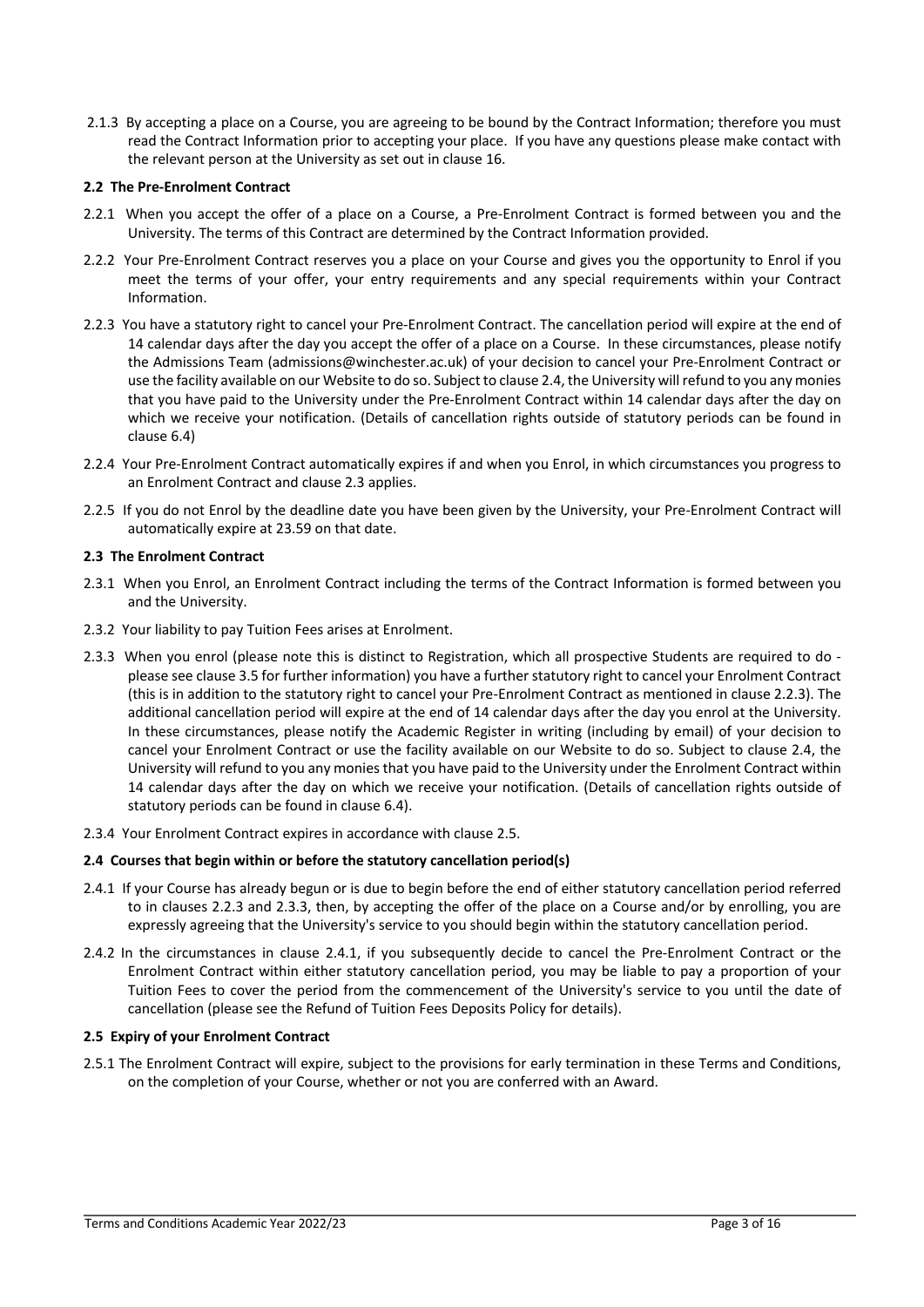2.1.3 By accepting a place on a Course, you are agreeing to be bound by the Contract Information; therefore you must read the Contract Information prior to accepting your place. If you have any questions please make contact with the relevant person at the University as set out in clause 16.

# **2.2 The Pre-Enrolment Contract**

- 2.2.1 When you accept the offer of a place on a Course, a Pre-Enrolment Contract is formed between you and the University. The terms of this Contract are determined by the Contract Information provided.
- 2.2.2 Your Pre-Enrolment Contract reserves you a place on your Course and gives you the opportunity to Enrol if you meet the terms of your offer, your entry requirements and any special requirements within your Contract Information.
- 2.2.3 You have a statutory right to cancel your Pre-Enrolment Contract. The cancellation period will expire at the end of 14 calendar days after the day you accept the offer of a place on a Course. In these circumstances, please notify the Admissions Team (admissions@winchester.ac.uk) of your decision to cancel your Pre-Enrolment Contract or use the facility available on our Website to do so. Subject to clause 2.4, the University will refund to you any monies that you have paid to the University under the Pre-Enrolment Contract within 14 calendar days after the day on which we receive your notification. (Details of cancellation rights outside of statutory periods can be found in clause 6.4)
- 2.2.4 Your Pre-Enrolment Contract automatically expires if and when you Enrol, in which circumstances you progress to an Enrolment Contract and clause 2.3 applies.
- 2.2.5 If you do not Enrol by the deadline date you have been given by the University, your Pre-Enrolment Contract will automatically expire at 23.59 on that date.

# **2.3 The Enrolment Contract**

- 2.3.1 When you Enrol, an Enrolment Contract including the terms of the Contract Information is formed between you and the University.
- 2.3.2 Your liability to pay Tuition Fees arises at Enrolment.
- 2.3.3 When you enrol (please note this is distinct to Registration, which all prospective Students are required to do please see clause 3.5 for further information) you have a further statutory right to cancel your Enrolment Contract (this is in addition to the statutory right to cancel your Pre-Enrolment Contract as mentioned in clause 2.2.3). The additional cancellation period will expire at the end of 14 calendar days after the day you enrol at the University. In these circumstances, please notify the Academic Register in writing (including by email) of your decision to cancel your Enrolment Contract or use the facility available on our Website to do so. Subject to clause 2.4, the University will refund to you any monies that you have paid to the University under the Enrolment Contract within 14 calendar days after the day on which we receive your notification. (Details of cancellation rights outside of statutory periods can be found in clause 6.4).
- 2.3.4 Your Enrolment Contract expires in accordance with clause 2.5.

# **2.4 Courses that begin within or before the statutory cancellation period(s)**

- 2.4.1 If your Course has already begun or is due to begin before the end of either statutory cancellation period referred to in clauses 2.2.3 and 2.3.3, then, by accepting the offer of the place on a Course and/or by enrolling, you are expressly agreeing that the University's service to you should begin within the statutory cancellation period.
- 2.4.2 In the circumstances in clause 2.4.1, if you subsequently decide to cancel the Pre-Enrolment Contract or the Enrolment Contract within either statutory cancellation period, you may be liable to pay a proportion of your Tuition Fees to cover the period from the commencement of the University's service to you until the date of cancellation (please see the Refund of Tuition Fees Deposits Policy for details).

# **2.5 Expiry of your Enrolment Contract**

2.5.1 The Enrolment Contract will expire, subject to the provisions for early termination in these Terms and Conditions, on the completion of your Course, whether or not you are conferred with an Award.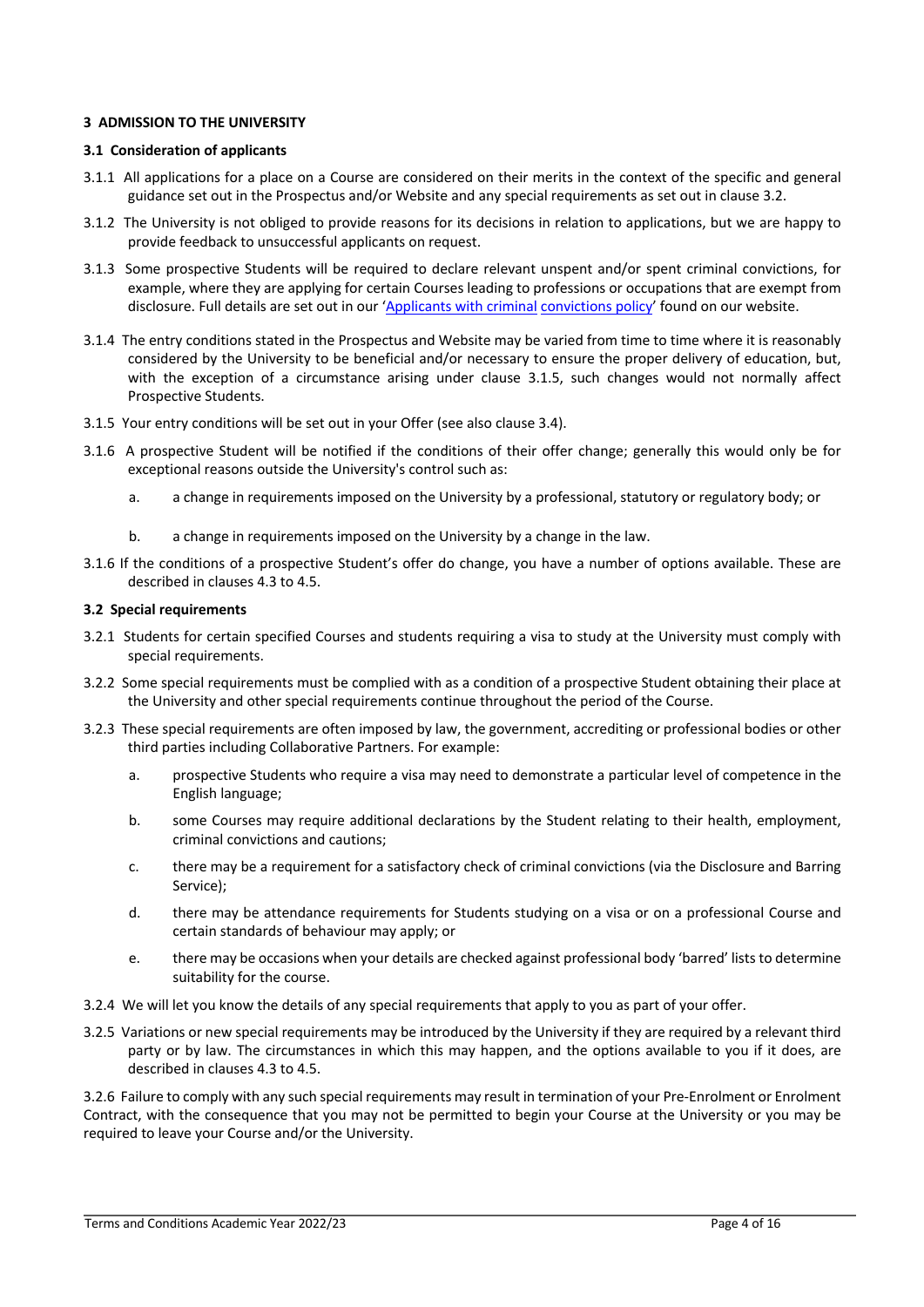# **3 ADMISSION TO THE UNIVERSITY**

# **3.1 Consideration of applicants**

- 3.1.1 All applications for a place on a Course are considered on their merits in the context of the specific and general guidance set out in the Prospectus and/or Website and any special requirements as set out in clause 3.2.
- 3.1.2 The University is not obliged to provide reasons for its decisions in relation to applications, but we are happy to provide feedback to unsuccessful applicants on request.
- 3.1.3 Some prospective Students will be required to declare relevant unspent and/or spent criminal convictions, for example, where they are applying for certain Courses leading to professions or occupations that are exempt from disclosure. Full details are set out in our 'Applicants with criminal convictions policy' found on our website.
- 3.1.4 The entry conditions stated in the Prospectus and Website may be varied from time to time where it is reasonably considered by the University to be beneficial and/or necessary to ensure the proper delivery of education, but, with the exception of a circumstance arising under clause 3.1.5, such changes would not normally affect Prospective Students.
- 3.1.5 Your entry conditions will be set out in your Offer (see also clause 3.4).
- 3.1.6 A prospective Student will be notified if the conditions of their offer change; generally this would only be for exceptional reasons outside the University's control such as:
	- a. a change in requirements imposed on the University by a professional, statutory or regulatory body; or
	- b. a change in requirements imposed on the University by a change in the law.
- 3.1.6 If the conditions of a prospective Student's offer do change, you have a number of options available. These are described in clauses 4.3 to 4.5.

# **3.2 Special requirements**

- 3.2.1 Students for certain specified Courses and students requiring a visa to study at the University must comply with special requirements.
- 3.2.2 Some special requirements must be complied with as a condition of a prospective Student obtaining their place at the University and other special requirements continue throughout the period of the Course.
- 3.2.3 These special requirements are often imposed by law, the government, accrediting or professional bodies or other third parties including Collaborative Partners. For example:
	- a. prospective Students who require a visa may need to demonstrate a particular level of competence in the English language;
	- b. some Courses may require additional declarations by the Student relating to their health, employment, criminal convictions and cautions;
	- c. there may be a requirement for a satisfactory check of criminal convictions (via the Disclosure and Barring Service);
	- d. there may be attendance requirements for Students studying on a visa or on a professional Course and certain standards of behaviour may apply; or
	- e. there may be occasions when your details are checked against professional body 'barred' lists to determine suitability for the course.
- 3.2.4 We will let you know the details of any special requirements that apply to you as part of your offer.
- 3.2.5 Variations or new special requirements may be introduced by the University if they are required by a relevant third party or by law. The circumstances in which this may happen, and the options available to you if it does, are described in clauses 4.3 to 4.5.

3.2.6 Failure to comply with any such special requirements may result in termination of your Pre-Enrolment or Enrolment Contract, with the consequence that you may not be permitted to begin your Course at the University or you may be required to leave your Course and/or the University.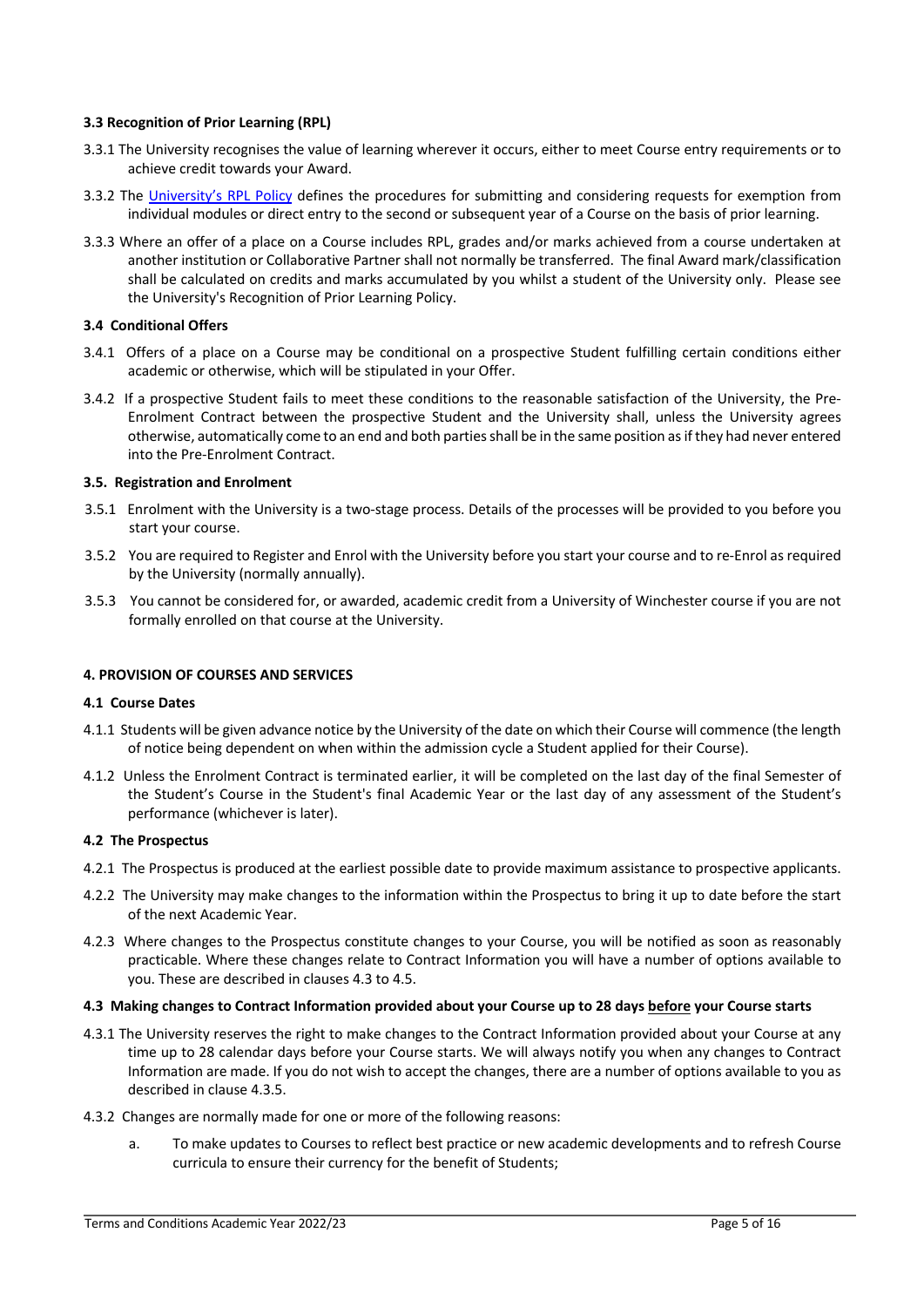# **3.3 Recognition of Prior Learning (RPL)**

- 3.3.1 The University recognises the value of learning wherever it occurs, either to meet Course entry requirements or to achieve credit towards your Award.
- 3.3.2 The University's RPL Policy defines the procedures for submitting and considering requests for exemption from individual modules or direct entry to the second or subsequent year of a Course on the basis of prior learning.
- 3.3.3 Where an offer of a place on a Course includes RPL, grades and/or marks achieved from a course undertaken at another institution or Collaborative Partner shall not normally be transferred. The final Award mark/classification shall be calculated on credits and marks accumulated by you whilst a student of the University only. Please see the University's Recognition of Prior Learning Policy.

# **3.4 Conditional Offers**

- 3.4.1 Offers of a place on a Course may be conditional on a prospective Student fulfilling certain conditions either academic or otherwise, which will be stipulated in your Offer.
- 3.4.2 If a prospective Student fails to meet these conditions to the reasonable satisfaction of the University, the Pre-Enrolment Contract between the prospective Student and the University shall, unless the University agrees otherwise, automatically come to an end and both parties shall be in the same position as if they had never entered into the Pre-Enrolment Contract.

# **3.5. Registration and Enrolment**

- 3.5.1 Enrolment with the University is a two-stage process. Details of the processes will be provided to you before you start your course.
- 3.5.2 You are required to Register and Enrol with the University before you start your course and to re-Enrol as required by the University (normally annually).
- 3.5.3 You cannot be considered for, or awarded, academic credit from a University of Winchester course if you are not formally enrolled on that course at the University.

# **4. PROVISION OF COURSES AND SERVICES**

# **4.1 Course Dates**

- 4.1.1 Students will be given advance notice by the University of the date on which their Course will commence (the length of notice being dependent on when within the admission cycle a Student applied for their Course).
- 4.1.2 Unless the Enrolment Contract is terminated earlier, it will be completed on the last day of the final Semester of the Student's Course in the Student's final Academic Year or the last day of any assessment of the Student's performance (whichever is later).

# **4.2 The Prospectus**

- 4.2.1 The Prospectus is produced at the earliest possible date to provide maximum assistance to prospective applicants.
- 4.2.2 The University may make changes to the information within the Prospectus to bring it up to date before the start of the next Academic Year.
- 4.2.3 Where changes to the Prospectus constitute changes to your Course, you will be notified as soon as reasonably practicable. Where these changes relate to Contract Information you will have a number of options available to you. These are described in clauses 4.3 to 4.5.

# **4.3 Making changes to Contract Information provided about your Course up to 28 days before your Course starts**

- 4.3.1 The University reserves the right to make changes to the Contract Information provided about your Course at any time up to 28 calendar days before your Course starts. We will always notify you when any changes to Contract Information are made. If you do not wish to accept the changes, there are a number of options available to you as described in clause 4.3.5.
- 4.3.2 Changes are normally made for one or more of the following reasons:
	- a. To make updates to Courses to reflect best practice or new academic developments and to refresh Course curricula to ensure their currency for the benefit of Students;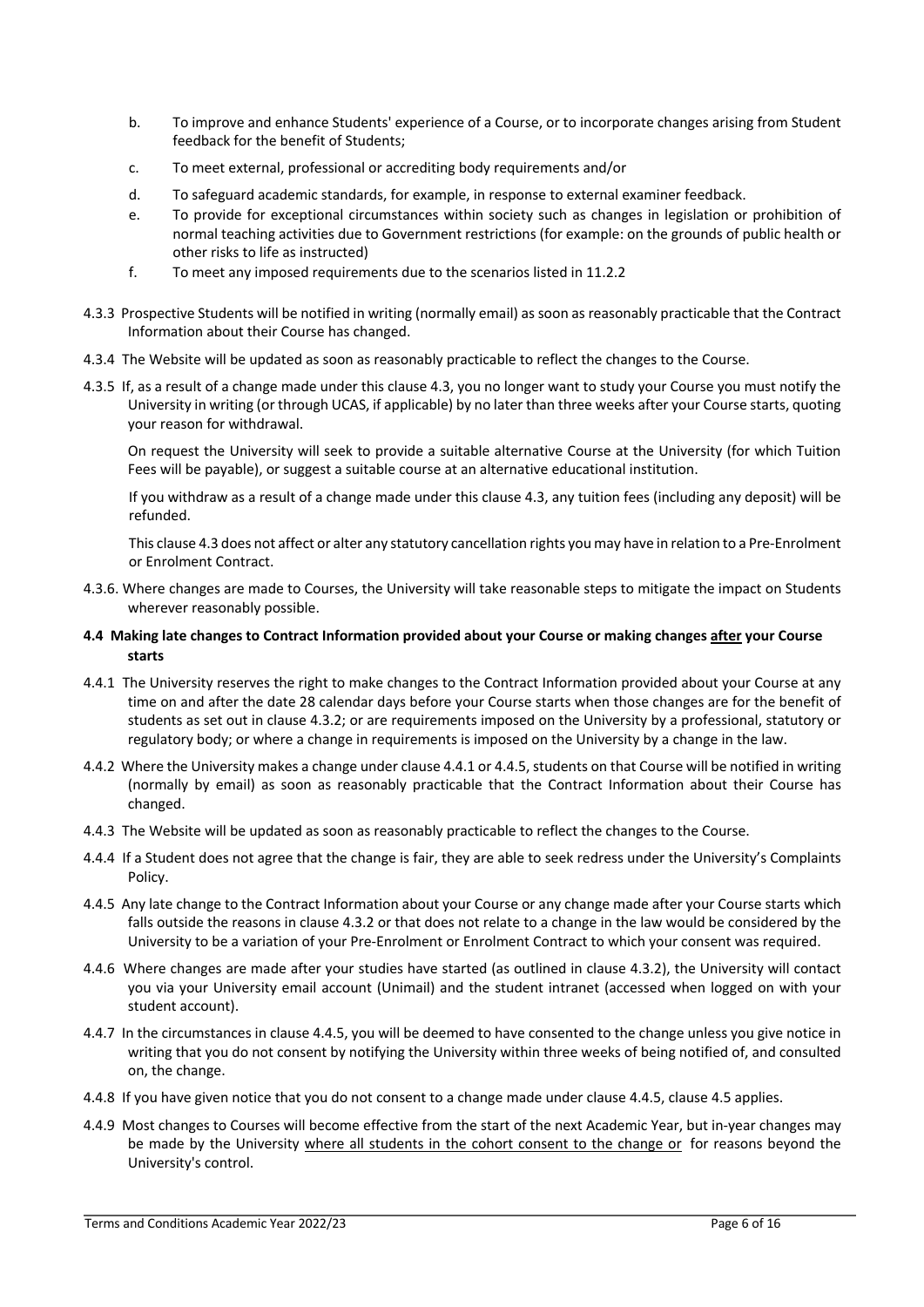- b. To improve and enhance Students' experience of a Course, or to incorporate changes arising from Student feedback for the benefit of Students;
- c. To meet external, professional or accrediting body requirements and/or
- d. To safeguard academic standards, for example, in response to external examiner feedback.
- e. To provide for exceptional circumstances within society such as changes in legislation or prohibition of normal teaching activities due to Government restrictions (for example: on the grounds of public health or other risks to life as instructed)
- f. To meet any imposed requirements due to the scenarios listed in 11.2.2
- 4.3.3 Prospective Students will be notified in writing (normally email) as soon as reasonably practicable that the Contract Information about their Course has changed.
- 4.3.4 The Website will be updated as soon as reasonably practicable to reflect the changes to the Course.
- 4.3.5 If, as a result of a change made under this clause 4.3, you no longer want to study your Course you must notify the University in writing (or through UCAS, if applicable) by no later than three weeks after your Course starts, quoting your reason for withdrawal.

On request the University will seek to provide a suitable alternative Course at the University (for which Tuition Fees will be payable), or suggest a suitable course at an alternative educational institution.

If you withdraw as a result of a change made under this clause 4.3, any tuition fees (including any deposit) will be refunded.

This clause 4.3 does not affect or alter any statutory cancellation rights you may have in relation to a Pre-Enrolment or Enrolment Contract.

- 4.3.6. Where changes are made to Courses, the University will take reasonable steps to mitigate the impact on Students wherever reasonably possible.
- **4.4 Making late changes to Contract Information provided about your Course or making changes after your Course starts**
- 4.4.1 The University reserves the right to make changes to the Contract Information provided about your Course at any time on and after the date 28 calendar days before your Course starts when those changes are for the benefit of students as set out in clause 4.3.2; or are requirements imposed on the University by a professional, statutory or regulatory body; or where a change in requirements is imposed on the University by a change in the law.
- 4.4.2 Where the University makes a change under clause 4.4.1 or 4.4.5, students on that Course will be notified in writing (normally by email) as soon as reasonably practicable that the Contract Information about their Course has changed.
- 4.4.3 The Website will be updated as soon as reasonably practicable to reflect the changes to the Course.
- 4.4.4 If a Student does not agree that the change is fair, they are able to seek redress under the University's Complaints Policy.
- 4.4.5 Any late change to the Contract Information about your Course or any change made after your Course starts which falls outside the reasons in clause 4.3.2 or that does not relate to a change in the law would be considered by the University to be a variation of your Pre-Enrolment or Enrolment Contract to which your consent was required.
- 4.4.6 Where changes are made after your studies have started (as outlined in clause 4.3.2), the University will contact you via your University email account (Unimail) and the student intranet (accessed when logged on with your student account).
- 4.4.7 In the circumstances in clause 4.4.5, you will be deemed to have consented to the change unless you give notice in writing that you do not consent by notifying the University within three weeks of being notified of, and consulted on, the change.
- 4.4.8 If you have given notice that you do not consent to a change made under clause 4.4.5, clause 4.5 applies.
- 4.4.9 Most changes to Courses will become effective from the start of the next Academic Year, but in-year changes may be made by the University where all students in the cohort consent to the change or for reasons beyond the University's control.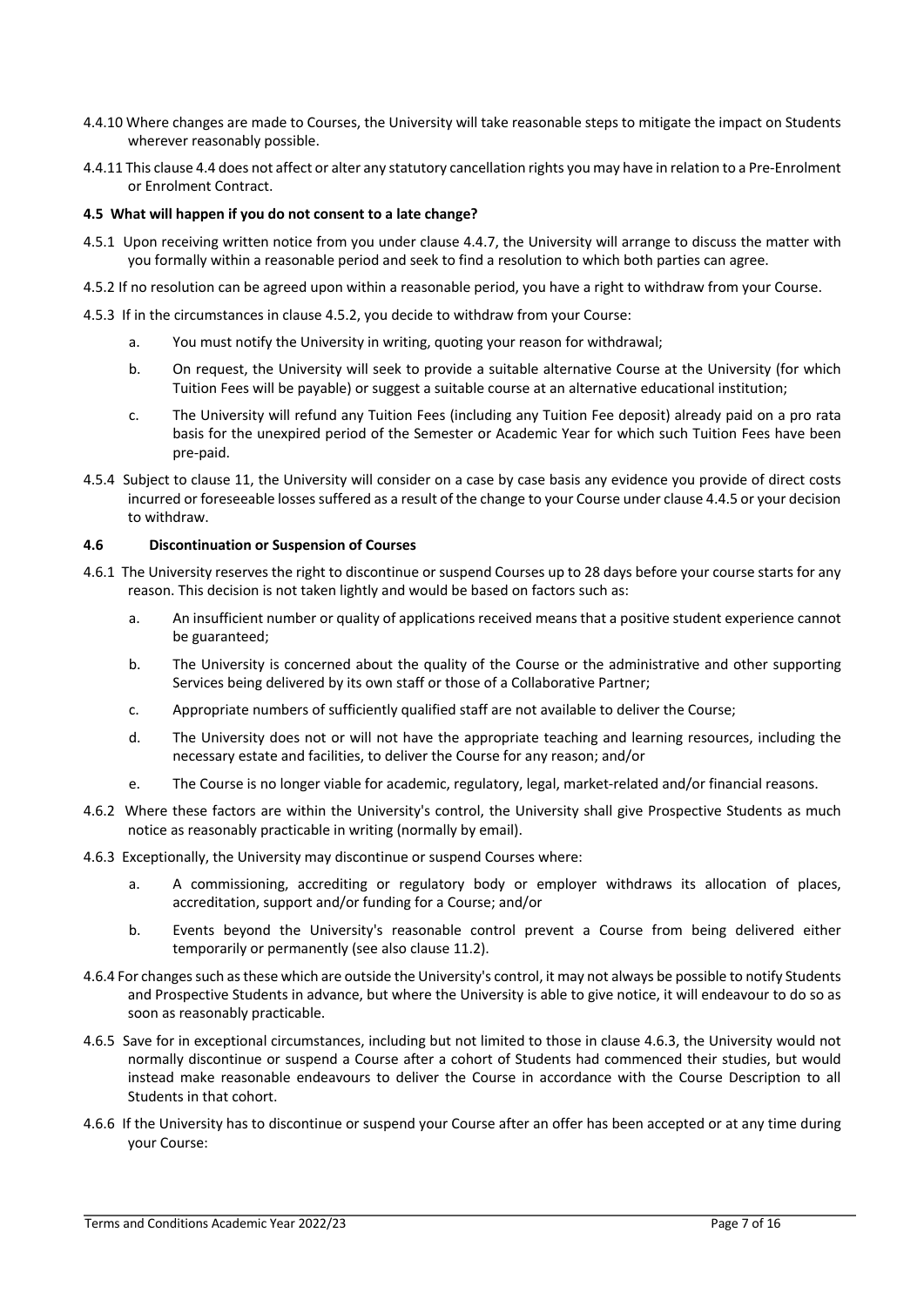- 4.4.10 Where changes are made to Courses, the University will take reasonable steps to mitigate the impact on Students wherever reasonably possible.
- 4.4.11 This clause 4.4 does not affect or alter any statutory cancellation rights you may have in relation to a Pre-Enrolment or Enrolment Contract.

# **4.5 What will happen if you do not consent to a late change?**

- 4.5.1 Upon receiving written notice from you under clause 4.4.7, the University will arrange to discuss the matter with you formally within a reasonable period and seek to find a resolution to which both parties can agree.
- 4.5.2 If no resolution can be agreed upon within a reasonable period, you have a right to withdraw from your Course.
- 4.5.3 If in the circumstances in clause 4.5.2, you decide to withdraw from your Course:
	- a. You must notify the University in writing, quoting your reason for withdrawal;
	- b. On request, the University will seek to provide a suitable alternative Course at the University (for which Tuition Fees will be payable) or suggest a suitable course at an alternative educational institution;
	- c. The University will refund any Tuition Fees (including any Tuition Fee deposit) already paid on a pro rata basis for the unexpired period of the Semester or Academic Year for which such Tuition Fees have been pre-paid.
- 4.5.4 Subject to clause 11, the University will consider on a case by case basis any evidence you provide of direct costs incurred or foreseeable losses suffered as a result of the change to your Course under clause 4.4.5 or your decision to withdraw.

# **4.6 Discontinuation or Suspension of Courses**

- 4.6.1 The University reserves the right to discontinue or suspend Courses up to 28 days before your course starts for any reason. This decision is not taken lightly and would be based on factors such as:
	- a. An insufficient number or quality of applications received means that a positive student experience cannot be guaranteed;
	- b. The University is concerned about the quality of the Course or the administrative and other supporting Services being delivered by its own staff or those of a Collaborative Partner;
	- c. Appropriate numbers of sufficiently qualified staff are not available to deliver the Course;
	- d. The University does not or will not have the appropriate teaching and learning resources, including the necessary estate and facilities, to deliver the Course for any reason; and/or
	- e. The Course is no longer viable for academic, regulatory, legal, market-related and/or financial reasons.
- 4.6.2 Where these factors are within the University's control, the University shall give Prospective Students as much notice as reasonably practicable in writing (normally by email).
- 4.6.3 Exceptionally, the University may discontinue or suspend Courses where:
	- a. A commissioning, accrediting or regulatory body or employer withdraws its allocation of places, accreditation, support and/or funding for a Course; and/or
	- b. Events beyond the University's reasonable control prevent a Course from being delivered either temporarily or permanently (see also clause 11.2).
- 4.6.4 For changes such as these which are outside the University's control, it may not always be possible to notify Students and Prospective Students in advance, but where the University is able to give notice, it will endeavour to do so as soon as reasonably practicable.
- 4.6.5 Save for in exceptional circumstances, including but not limited to those in clause 4.6.3, the University would not normally discontinue or suspend a Course after a cohort of Students had commenced their studies, but would instead make reasonable endeavours to deliver the Course in accordance with the Course Description to all Students in that cohort.
- 4.6.6 If the University has to discontinue or suspend your Course after an offer has been accepted or at any time during your Course: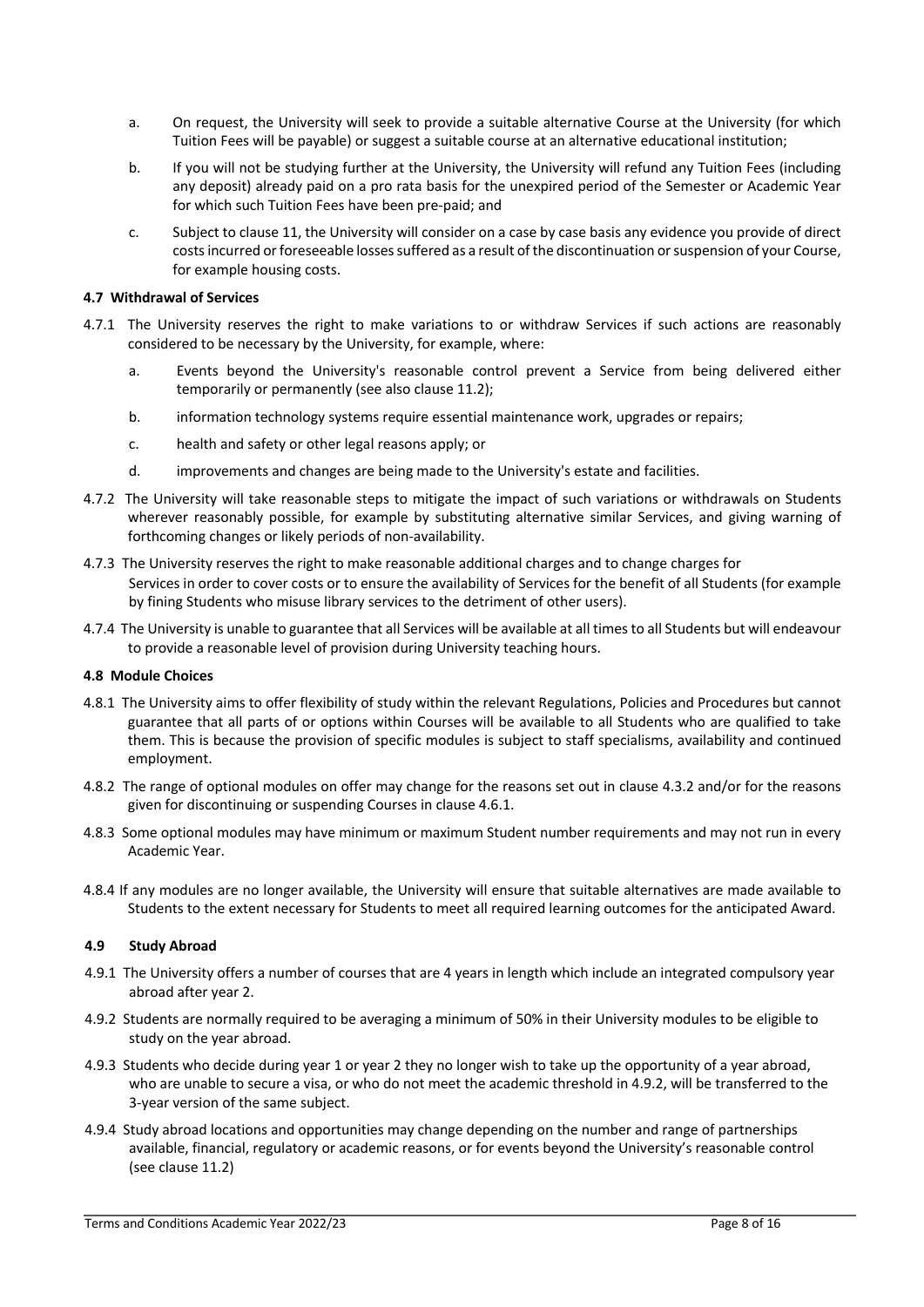- a. On request, the University will seek to provide a suitable alternative Course at the University (for which Tuition Fees will be payable) or suggest a suitable course at an alternative educational institution;
- b. If you will not be studying further at the University, the University will refund any Tuition Fees (including any deposit) already paid on a pro rata basis for the unexpired period of the Semester or Academic Year for which such Tuition Fees have been pre-paid; and
- c. Subject to clause 11, the University will consider on a case by case basis any evidence you provide of direct costs incurred or foreseeable losses suffered as a result of the discontinuation or suspension of your Course, for example housing costs.

# **4.7 Withdrawal of Services**

- 4.7.1 The University reserves the right to make variations to or withdraw Services if such actions are reasonably considered to be necessary by the University, for example, where:
	- a. Events beyond the University's reasonable control prevent a Service from being delivered either temporarily or permanently (see also clause 11.2);
	- b. information technology systems require essential maintenance work, upgrades or repairs;
	- c. health and safety or other legal reasons apply; or
	- d. improvements and changes are being made to the University's estate and facilities.
- 4.7.2 The University will take reasonable steps to mitigate the impact of such variations or withdrawals on Students wherever reasonably possible, for example by substituting alternative similar Services, and giving warning of forthcoming changes or likely periods of non-availability.
- 4.7.3 The University reserves the right to make reasonable additional charges and to change charges for Services in order to cover costs or to ensure the availability of Services for the benefit of all Students (for example by fining Students who misuse library services to the detriment of other users).
- 4.7.4 The University is unable to guarantee that all Services will be available at all times to all Students but will endeavour to provide a reasonable level of provision during University teaching hours.

# **4.8 Module Choices**

- 4.8.1 The University aims to offer flexibility of study within the relevant Regulations, Policies and Procedures but cannot guarantee that all parts of or options within Courses will be available to all Students who are qualified to take them. This is because the provision of specific modules is subject to staff specialisms, availability and continued employment.
- 4.8.2 The range of optional modules on offer may change for the reasons set out in clause 4.3.2 and/or for the reasons given for discontinuing or suspending Courses in clause 4.6.1.
- 4.8.3 Some optional modules may have minimum or maximum Student number requirements and may not run in every Academic Year.
- 4.8.4 If any modules are no longer available, the University will ensure that suitable alternatives are made available to Students to the extent necessary for Students to meet all required learning outcomes for the anticipated Award.

# **4.9 Study Abroad**

- 4.9.1 The University offers a number of courses that are 4 years in length which include an integrated compulsory year abroad after year 2.
- 4.9.2 Students are normally required to be averaging a minimum of 50% in their University modules to be eligible to study on the year abroad.
- 4.9.3 Students who decide during year 1 or year 2 they no longer wish to take up the opportunity of a year abroad, who are unable to secure a visa, or who do not meet the academic threshold in 4.9.2, will be transferred to the 3-year version of the same subject.
- 4.9.4 Study abroad locations and opportunities may change depending on the number and range of partnerships available, financial, regulatory or academic reasons, or for events beyond the University's reasonable control (see clause 11.2)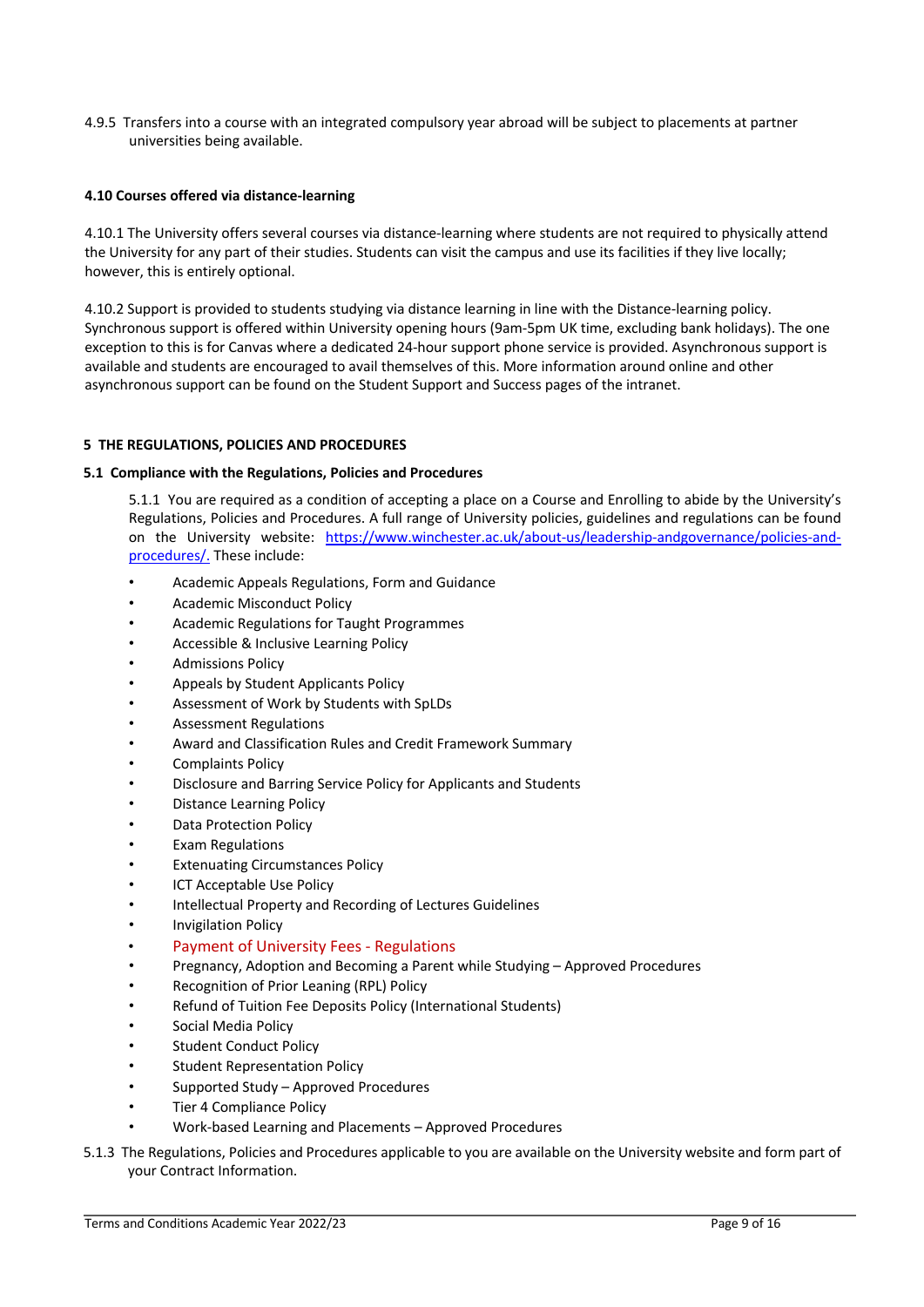4.9.5 Transfers into a course with an integrated compulsory year abroad will be subject to placements at partner universities being available.

# **4.10 Courses offered via distance-learning**

4.10.1 The University offers several courses via distance-learning where students are not required to physically attend the University for any part of their studies. Students can visit the campus and use its facilities if they live locally; however, this is entirely optional.

4.10.2 Support is provided to students studying via distance learning in line with the Distance-learning policy. Synchronous support is offered within University opening hours (9am-5pm UK time, excluding bank holidays). The one exception to this is for Canvas where a dedicated 24-hour support phone service is provided. Asynchronous support is available and students are encouraged to avail themselves of this. More information around online and other asynchronous support can be found on the Student Support and Success pages of the intranet.

# **5 THE REGULATIONS, POLICIES AND PROCEDURES**

# **5.1 Compliance with the Regulations, Policies and Procedures**

5.1.1 You are required as a condition of accepting a place on a Course and Enrolling to abide by the University's Regulations, Policies and Procedures. A full range of University policies, guidelines and regulations can be found on the University website: https://www.winchester.ac.uk/about-us/leadership-andgovernance/policies-andprocedures/. These include:

- Academic Appeals Regulations, Form and Guidance
- Academic Misconduct Policy
- Academic Regulations for Taught Programmes
- Accessible & Inclusive Learning Policy
- Admissions Policy
- Appeals by Student Applicants Policy
- Assessment of Work by Students with SpLDs
- Assessment Regulations
- Award and Classification Rules and Credit Framework Summary
- Complaints Policy
- Disclosure and Barring Service Policy for Applicants and Students
- Distance Learning Policy
- Data Protection Policy
- Exam Regulations
- **Extenuating Circumstances Policy**
- **ICT Acceptable Use Policy**
- Intellectual Property and Recording of Lectures Guidelines
- Invigilation Policy
- Payment of University Fees Regulations
- Pregnancy, Adoption and Becoming a Parent while Studying Approved Procedures
- Recognition of Prior Leaning (RPL) Policy
- Refund of Tuition Fee Deposits Policy (International Students)
- Social Media Policy
- **Student Conduct Policy**
- Student Representation Policy
- Supported Study Approved Procedures
- Tier 4 Compliance Policy
- Work-based Learning and Placements Approved Procedures
- 5.1.3 The Regulations, Policies and Procedures applicable to you are available on the University website and form part of your Contract Information.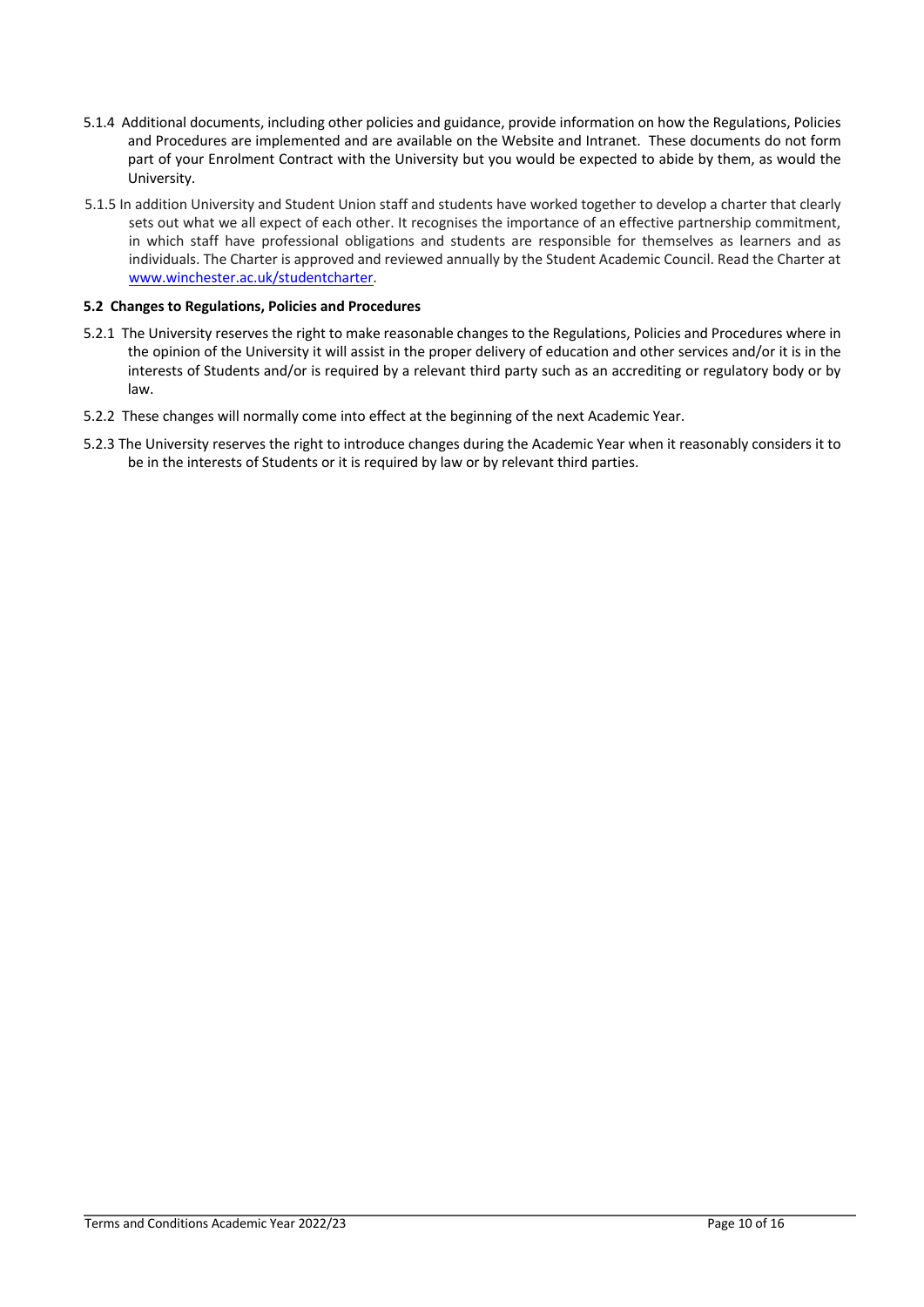- 5.1.4 Additional documents, including other policies and guidance, provide information on how the Regulations, Policies and Procedures are implemented and are available on the Website and Intranet. These documents do not form part of your Enrolment Contract with the University but you would be expected to abide by them, as would the University.
- 5.1.5 In addition University and Student Union staff and students have worked together to develop a charter that clearly sets out what we all expect of each other. It recognises the importance of an effective partnership commitment, in which staff have professional obligations and students are responsible for themselves as learners and as individuals. The Charter is approved and reviewed annually by the Student Academic Council. Read the Charter at www.winchester.ac.uk/studentcharter.

# **5.2 Changes to Regulations, Policies and Procedures**

- 5.2.1 The University reserves the right to make reasonable changes to the Regulations, Policies and Procedures where in the opinion of the University it will assist in the proper delivery of education and other services and/or it is in the interests of Students and/or is required by a relevant third party such as an accrediting or regulatory body or by law.
- 5.2.2 These changes will normally come into effect at the beginning of the next Academic Year.
- 5.2.3 The University reserves the right to introduce changes during the Academic Year when it reasonably considers it to be in the interests of Students or it is required by law or by relevant third parties.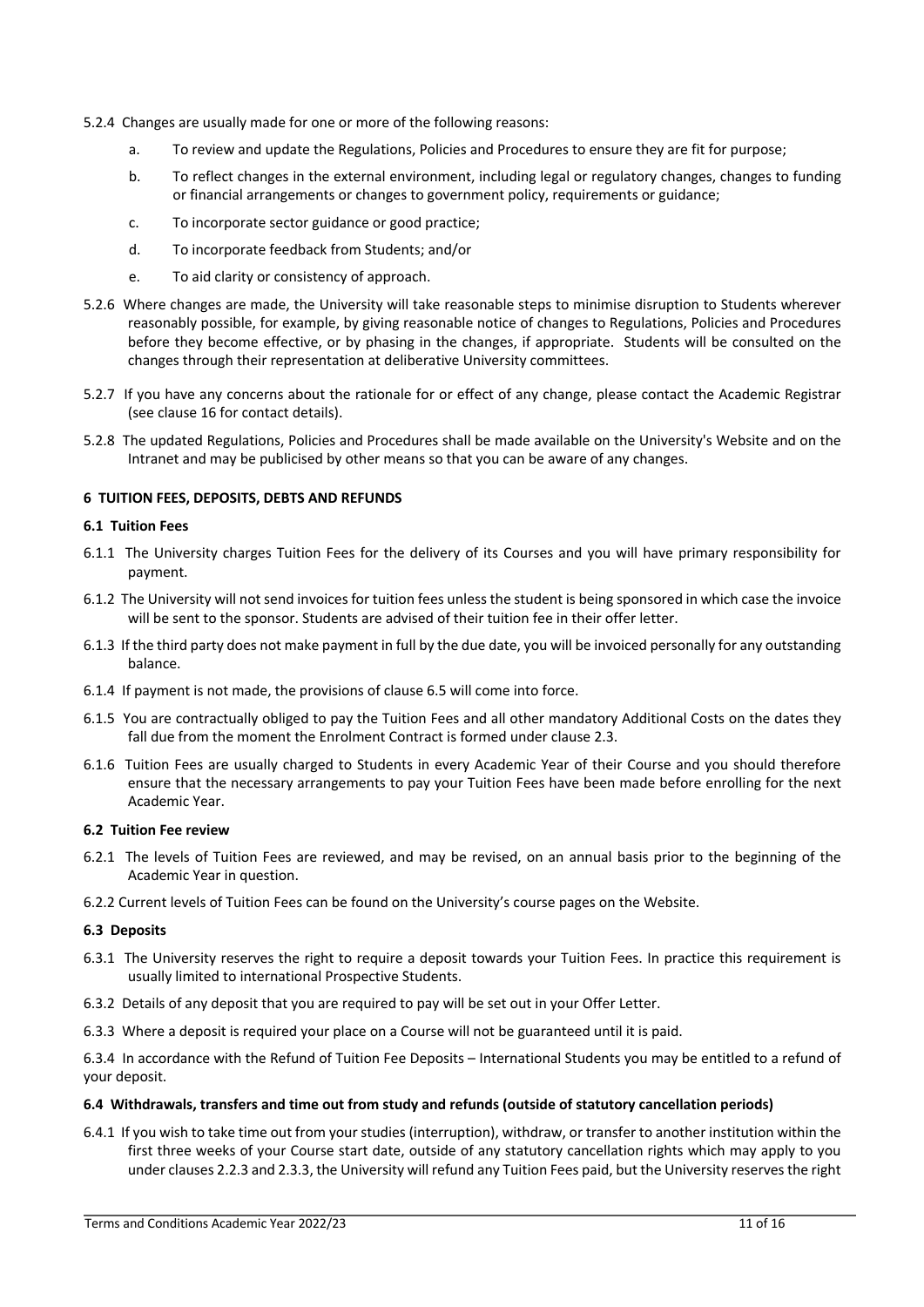- 5.2.4 Changes are usually made for one or more of the following reasons:
	- a. To review and update the Regulations, Policies and Procedures to ensure they are fit for purpose;
	- b. To reflect changes in the external environment, including legal or regulatory changes, changes to funding or financial arrangements or changes to government policy, requirements or guidance;
	- c. To incorporate sector guidance or good practice;
	- d. To incorporate feedback from Students; and/or
	- e. To aid clarity or consistency of approach.
- 5.2.6 Where changes are made, the University will take reasonable steps to minimise disruption to Students wherever reasonably possible, for example, by giving reasonable notice of changes to Regulations, Policies and Procedures before they become effective, or by phasing in the changes, if appropriate. Students will be consulted on the changes through their representation at deliberative University committees.
- 5.2.7 If you have any concerns about the rationale for or effect of any change, please contact the Academic Registrar (see clause 16 for contact details).
- 5.2.8 The updated Regulations, Policies and Procedures shall be made available on the University's Website and on the Intranet and may be publicised by other means so that you can be aware of any changes.

#### **6 TUITION FEES, DEPOSITS, DEBTS AND REFUNDS**

#### **6.1 Tuition Fees**

- 6.1.1 The University charges Tuition Fees for the delivery of its Courses and you will have primary responsibility for payment.
- 6.1.2 The University will not send invoices for tuition fees unless the student is being sponsored in which case the invoice will be sent to the sponsor. Students are advised of their tuition fee in their offer letter.
- 6.1.3 If the third party does not make payment in full by the due date, you will be invoiced personally for any outstanding balance.
- 6.1.4 If payment is not made, the provisions of clause 6.5 will come into force.
- 6.1.5 You are contractually obliged to pay the Tuition Fees and all other mandatory Additional Costs on the dates they fall due from the moment the Enrolment Contract is formed under clause 2.3.
- 6.1.6 Tuition Fees are usually charged to Students in every Academic Year of their Course and you should therefore ensure that the necessary arrangements to pay your Tuition Fees have been made before enrolling for the next Academic Year.

#### **6.2 Tuition Fee review**

- 6.2.1 The levels of Tuition Fees are reviewed, and may be revised, on an annual basis prior to the beginning of the Academic Year in question.
- 6.2.2 Current levels of Tuition Fees can be found on the University's course pages on the Website.

#### **6.3 Deposits**

- 6.3.1 The University reserves the right to require a deposit towards your Tuition Fees. In practice this requirement is usually limited to international Prospective Students.
- 6.3.2 Details of any deposit that you are required to pay will be set out in your Offer Letter.
- 6.3.3 Where a deposit is required your place on a Course will not be guaranteed until it is paid.

6.3.4 In accordance with the Refund of Tuition Fee Deposits – International Students you may be entitled to a refund of your deposit.

#### **6.4 Withdrawals, transfers and time out from study and refunds (outside of statutory cancellation periods)**

6.4.1 If you wish to take time out from your studies (interruption), withdraw, or transfer to another institution within the first three weeks of your Course start date, outside of any statutory cancellation rights which may apply to you under clauses 2.2.3 and 2.3.3, the University will refund any Tuition Fees paid, but the University reserves the right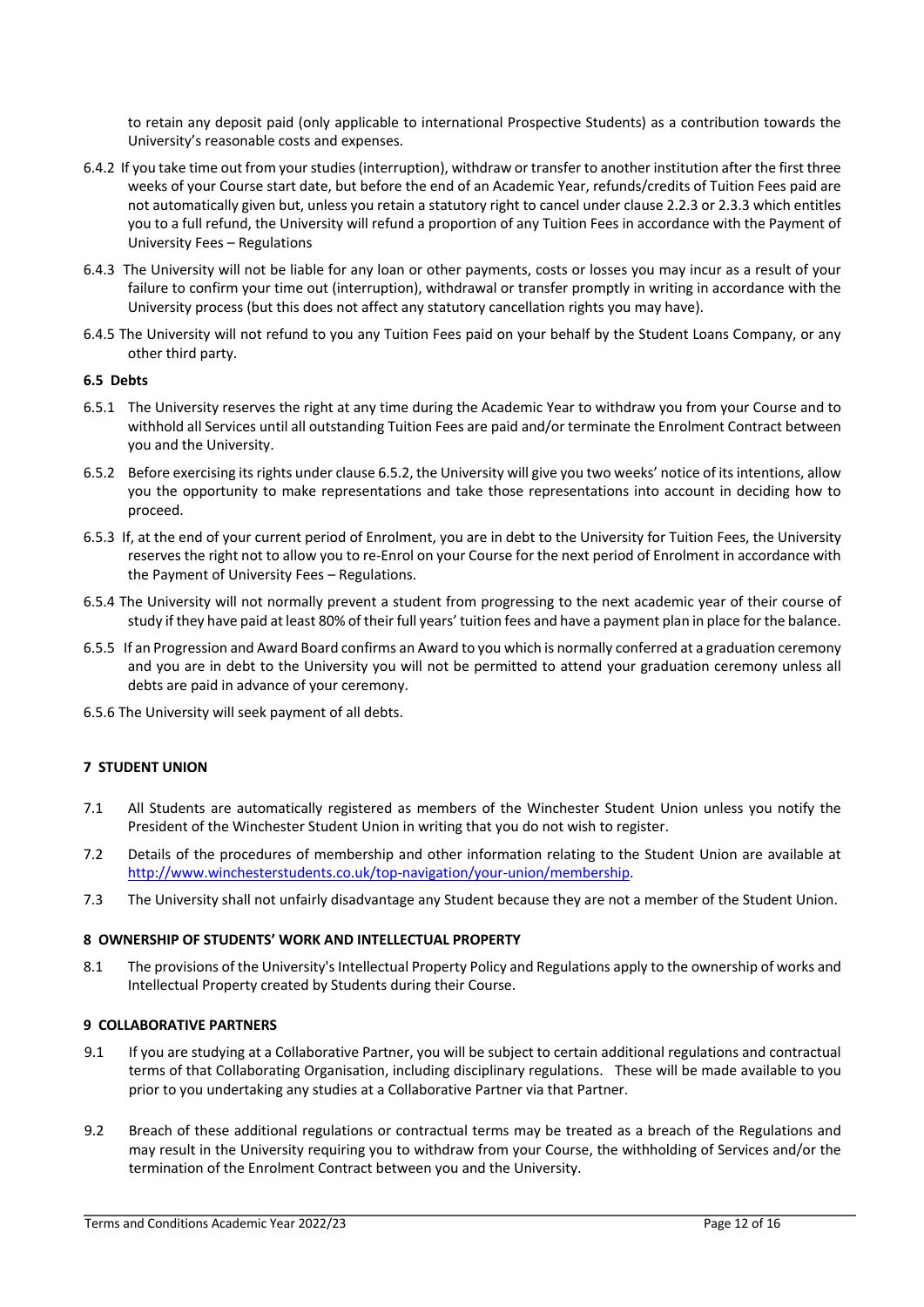to retain any deposit paid (only applicable to international Prospective Students) as a contribution towards the University's reasonable costs and expenses.

- 6.4.2 If you take time out from your studies (interruption), withdraw or transfer to another institution after the first three weeks of your Course start date, but before the end of an Academic Year, refunds/credits of Tuition Fees paid are not automatically given but, unless you retain a statutory right to cancel under clause 2.2.3 or 2.3.3 which entitles you to a full refund, the University will refund a proportion of any Tuition Fees in accordance with the Payment of University Fees – Regulations
- 6.4.3 The University will not be liable for any loan or other payments, costs or losses you may incur as a result of your failure to confirm your time out (interruption), withdrawal or transfer promptly in writing in accordance with the University process (but this does not affect any statutory cancellation rights you may have).
- 6.4.5 The University will not refund to you any Tuition Fees paid on your behalf by the Student Loans Company, or any other third party.

# **6.5 Debts**

- 6.5.1 The University reserves the right at any time during the Academic Year to withdraw you from your Course and to withhold all Services until all outstanding Tuition Fees are paid and/or terminate the Enrolment Contract between you and the University.
- 6.5.2 Before exercising its rights under clause 6.5.2, the University will give you two weeks' notice of its intentions, allow you the opportunity to make representations and take those representations into account in deciding how to proceed.
- 6.5.3 If, at the end of your current period of Enrolment, you are in debt to the University for Tuition Fees, the University reserves the right not to allow you to re-Enrol on your Course for the next period of Enrolment in accordance with the Payment of University Fees – Regulations.
- 6.5.4 The University will not normally prevent a student from progressing to the next academic year of their course of study if they have paid at least 80% of their full years' tuition fees and have a payment plan in place for the balance.
- 6.5.5 If an Progression and Award Board confirms an Award to you which is normally conferred at a graduation ceremony and you are in debt to the University you will not be permitted to attend your graduation ceremony unless all debts are paid in advance of your ceremony.
- 6.5.6 The University will seek payment of all debts.

# **7 STUDENT UNION**

- 7.1 All Students are automatically registered as members of the Winchester Student Union unless you notify the President of the Winchester Student Union in writing that you do not wish to register.
- 7.2 Details of the procedures of membership and other information relating to the Student Union are available at http://www.winchesterstudents.co.uk/top-navigation/your-union/membership.
- 7.3 The University shall not unfairly disadvantage any Student because they are not a member of the Student Union.

# **8 OWNERSHIP OF STUDENTS' WORK AND INTELLECTUAL PROPERTY**

8.1 The provisions of the University's Intellectual Property Policy and Regulations apply to the ownership of works and Intellectual Property created by Students during their Course.

# **9 COLLABORATIVE PARTNERS**

- 9.1 If you are studying at a Collaborative Partner, you will be subject to certain additional regulations and contractual terms of that Collaborating Organisation, including disciplinary regulations. These will be made available to you prior to you undertaking any studies at a Collaborative Partner via that Partner.
- 9.2 Breach of these additional regulations or contractual terms may be treated as a breach of the Regulations and may result in the University requiring you to withdraw from your Course, the withholding of Services and/or the termination of the Enrolment Contract between you and the University.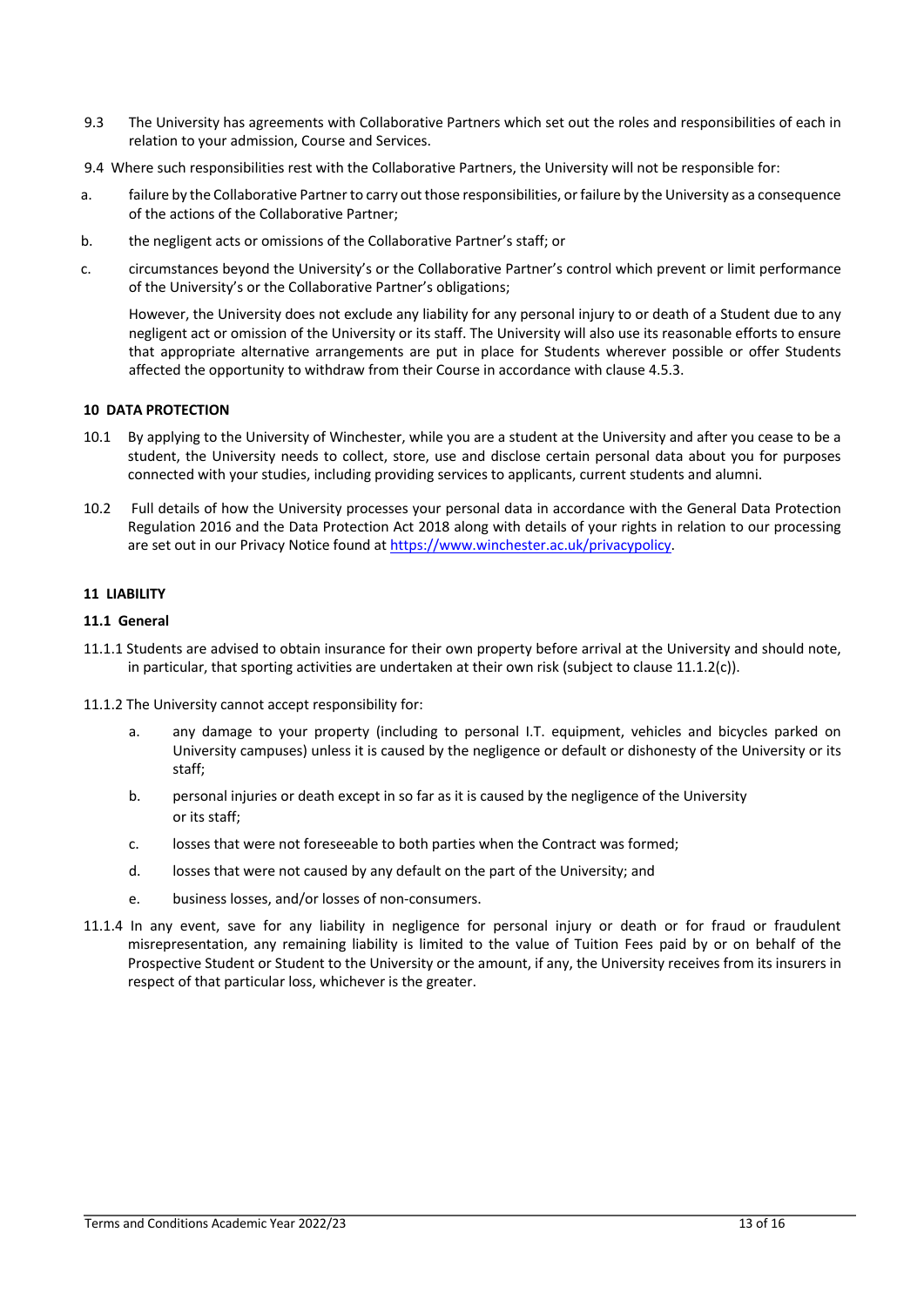- 9.3 The University has agreements with Collaborative Partners which set out the roles and responsibilities of each in relation to your admission, Course and Services.
- 9.4 Where such responsibilities rest with the Collaborative Partners, the University will not be responsible for:
- a. failure by the Collaborative Partner to carry out those responsibilities, or failure by the University as a consequence of the actions of the Collaborative Partner;
- b. the negligent acts or omissions of the Collaborative Partner's staff; or
- c. circumstances beyond the University's or the Collaborative Partner's control which prevent or limit performance of the University's or the Collaborative Partner's obligations;

However, the University does not exclude any liability for any personal injury to or death of a Student due to any negligent act or omission of the University or its staff. The University will also use its reasonable efforts to ensure that appropriate alternative arrangements are put in place for Students wherever possible or offer Students affected the opportunity to withdraw from their Course in accordance with clause 4.5.3.

# **10 DATA PROTECTION**

- 10.1 By applying to the University of Winchester, while you are a student at the University and after you cease to be a student, the University needs to collect, store, use and disclose certain personal data about you for purposes connected with your studies, including providing services to applicants, current students and alumni.
- 10.2 Full details of how the University processes your personal data in accordance with the General Data Protection Regulation 2016 and the Data Protection Act 2018 along with details of your rights in relation to our processing are set out in our Privacy Notice found at https://www.winchester.ac.uk/privacypolicy.

# **11 LIABILITY**

# **11.1 General**

- 11.1.1 Students are advised to obtain insurance for their own property before arrival at the University and should note, in particular, that sporting activities are undertaken at their own risk (subject to clause  $11.1.2(c)$ ).
- 11.1.2 The University cannot accept responsibility for:
	- a. any damage to your property (including to personal I.T. equipment, vehicles and bicycles parked on University campuses) unless it is caused by the negligence or default or dishonesty of the University or its staff;
	- b. personal injuries or death except in so far as it is caused by the negligence of the University or its staff;
	- c. losses that were not foreseeable to both parties when the Contract was formed;
	- d. losses that were not caused by any default on the part of the University; and
	- e. business losses, and/or losses of non-consumers.
- 11.1.4 In any event, save for any liability in negligence for personal injury or death or for fraud or fraudulent misrepresentation, any remaining liability is limited to the value of Tuition Fees paid by or on behalf of the Prospective Student or Student to the University or the amount, if any, the University receives from its insurers in respect of that particular loss, whichever is the greater.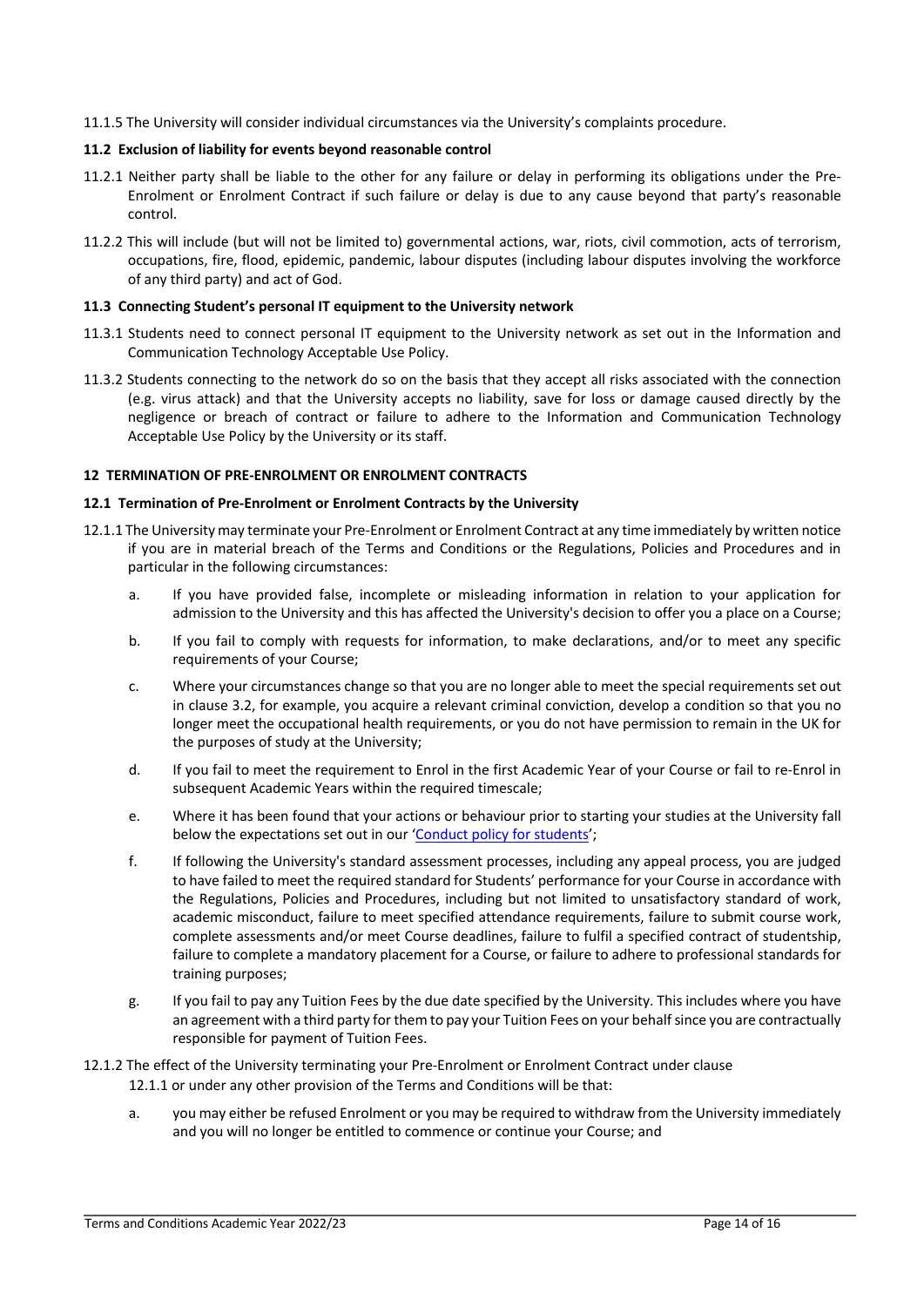11.1.5 The University will consider individual circumstances via the University's complaints procedure.

# **11.2 Exclusion of liability for events beyond reasonable control**

- 11.2.1 Neither party shall be liable to the other for any failure or delay in performing its obligations under the Pre-Enrolment or Enrolment Contract if such failure or delay is due to any cause beyond that party's reasonable control.
- 11.2.2 This will include (but will not be limited to) governmental actions, war, riots, civil commotion, acts of terrorism, occupations, fire, flood, epidemic, pandemic, labour disputes (including labour disputes involving the workforce of any third party) and act of God.

# **11.3 Connecting Student's personal IT equipment to the University network**

- 11.3.1 Students need to connect personal IT equipment to the University network as set out in the Information and Communication Technology Acceptable Use Policy.
- 11.3.2 Students connecting to the network do so on the basis that they accept all risks associated with the connection (e.g. virus attack) and that the University accepts no liability, save for loss or damage caused directly by the negligence or breach of contract or failure to adhere to the Information and Communication Technology Acceptable Use Policy by the University or its staff.

# **12 TERMINATION OF PRE-ENROLMENT OR ENROLMENT CONTRACTS**

# **12.1 Termination of Pre-Enrolment or Enrolment Contracts by the University**

- 12.1.1 The University may terminate your Pre-Enrolment or Enrolment Contract at any time immediately by written notice if you are in material breach of the Terms and Conditions or the Regulations, Policies and Procedures and in particular in the following circumstances:
	- a. If you have provided false, incomplete or misleading information in relation to your application for admission to the University and this has affected the University's decision to offer you a place on a Course;
	- b. If you fail to comply with requests for information, to make declarations, and/or to meet any specific requirements of your Course;
	- c. Where your circumstances change so that you are no longer able to meet the special requirements set out in clause 3.2, for example, you acquire a relevant criminal conviction, develop a condition so that you no longer meet the occupational health requirements, or you do not have permission to remain in the UK for the purposes of study at the University;
	- d. If you fail to meet the requirement to Enrol in the first Academic Year of your Course or fail to re-Enrol in subsequent Academic Years within the required timescale;
	- e. Where it has been found that your actions or behaviour prior to starting your studies at the University fall below the expectations set out in our 'Conduct policy for students';
	- f. If following the University's standard assessment processes, including any appeal process, you are judged to have failed to meet the required standard for Students' performance for your Course in accordance with the Regulations, Policies and Procedures, including but not limited to unsatisfactory standard of work, academic misconduct, failure to meet specified attendance requirements, failure to submit course work, complete assessments and/or meet Course deadlines, failure to fulfil a specified contract of studentship, failure to complete a mandatory placement for a Course, or failure to adhere to professional standards for training purposes;
	- g. If you fail to pay any Tuition Fees by the due date specified by the University. This includes where you have an agreement with a third party for them to pay your Tuition Fees on your behalf since you are contractually responsible for payment of Tuition Fees.

# 12.1.2 The effect of the University terminating your Pre-Enrolment or Enrolment Contract under clause 12.1.1 or under any other provision of the Terms and Conditions will be that:

a. you may either be refused Enrolment or you may be required to withdraw from the University immediately and you will no longer be entitled to commence or continue your Course; and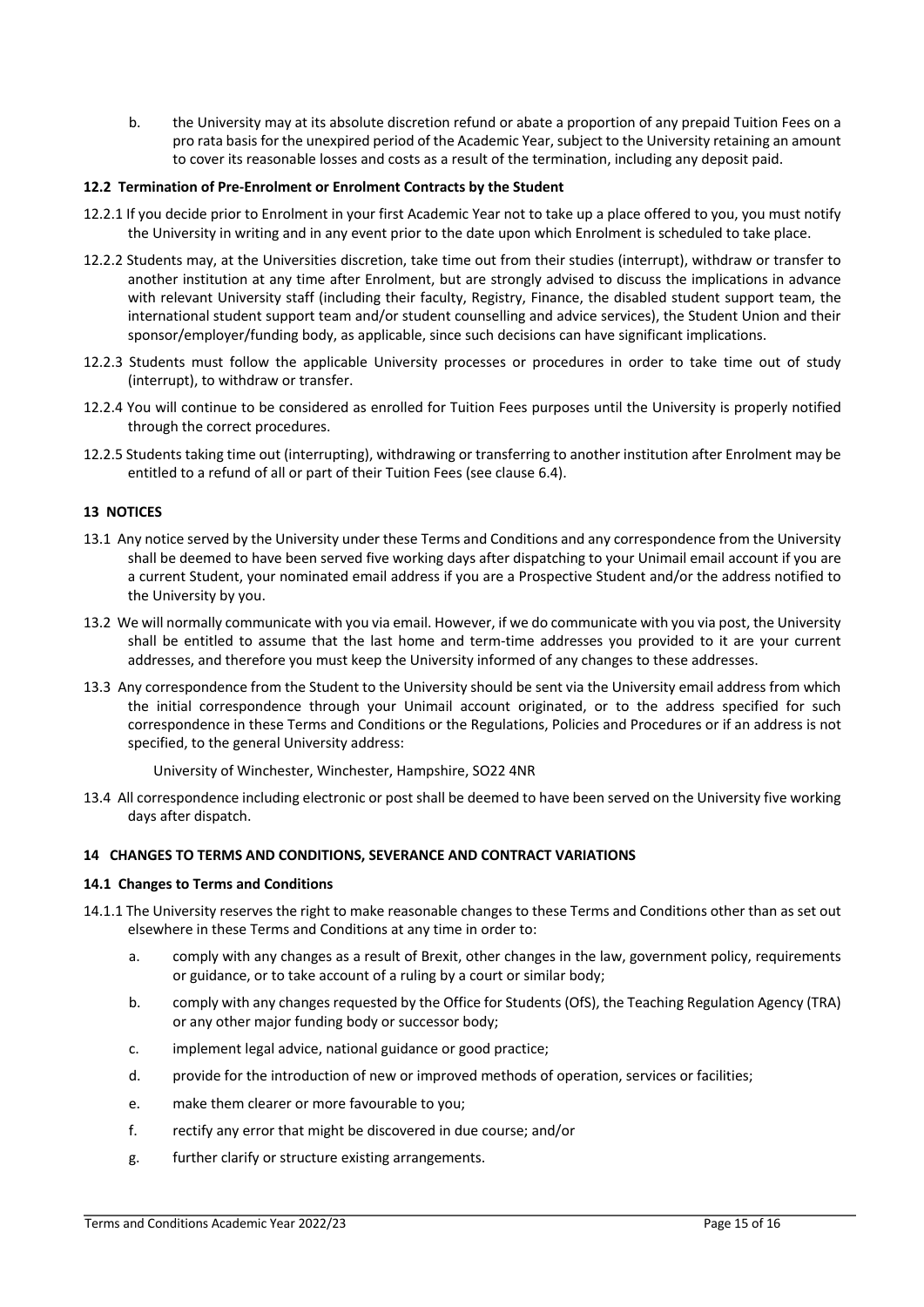b. the University may at its absolute discretion refund or abate a proportion of any prepaid Tuition Fees on a pro rata basis for the unexpired period of the Academic Year, subject to the University retaining an amount to cover its reasonable losses and costs as a result of the termination, including any deposit paid.

# **12.2 Termination of Pre-Enrolment or Enrolment Contracts by the Student**

- 12.2.1 If you decide prior to Enrolment in your first Academic Year not to take up a place offered to you, you must notify the University in writing and in any event prior to the date upon which Enrolment is scheduled to take place.
- 12.2.2 Students may, at the Universities discretion, take time out from their studies (interrupt), withdraw or transfer to another institution at any time after Enrolment, but are strongly advised to discuss the implications in advance with relevant University staff (including their faculty, Registry, Finance, the disabled student support team, the international student support team and/or student counselling and advice services), the Student Union and their sponsor/employer/funding body, as applicable, since such decisions can have significant implications.
- 12.2.3 Students must follow the applicable University processes or procedures in order to take time out of study (interrupt), to withdraw or transfer.
- 12.2.4 You will continue to be considered as enrolled for Tuition Fees purposes until the University is properly notified through the correct procedures.
- 12.2.5 Students taking time out (interrupting), withdrawing or transferring to another institution after Enrolment may be entitled to a refund of all or part of their Tuition Fees (see clause 6.4).

# **13 NOTICES**

- 13.1 Any notice served by the University under these Terms and Conditions and any correspondence from the University shall be deemed to have been served five working days after dispatching to your Unimail email account if you are a current Student, your nominated email address if you are a Prospective Student and/or the address notified to the University by you.
- 13.2 We will normally communicate with you via email. However, if we do communicate with you via post, the University shall be entitled to assume that the last home and term-time addresses you provided to it are your current addresses, and therefore you must keep the University informed of any changes to these addresses.
- 13.3 Any correspondence from the Student to the University should be sent via the University email address from which the initial correspondence through your Unimail account originated, or to the address specified for such correspondence in these Terms and Conditions or the Regulations, Policies and Procedures or if an address is not specified, to the general University address:

University of Winchester, Winchester, Hampshire, SO22 4NR

13.4 All correspondence including electronic or post shall be deemed to have been served on the University five working days after dispatch.

# **14 CHANGES TO TERMS AND CONDITIONS, SEVERANCE AND CONTRACT VARIATIONS**

# **14.1 Changes to Terms and Conditions**

- 14.1.1 The University reserves the right to make reasonable changes to these Terms and Conditions other than as set out elsewhere in these Terms and Conditions at any time in order to:
	- a. comply with any changes as a result of Brexit, other changes in the law, government policy, requirements or guidance, or to take account of a ruling by a court or similar body;
	- b. comply with any changes requested by the Office for Students (OfS), the Teaching Regulation Agency (TRA) or any other major funding body or successor body;
	- c. implement legal advice, national guidance or good practice;
	- d. provide for the introduction of new or improved methods of operation, services or facilities;
	- e. make them clearer or more favourable to you;
	- f. rectify any error that might be discovered in due course; and/or
	- g. further clarify or structure existing arrangements.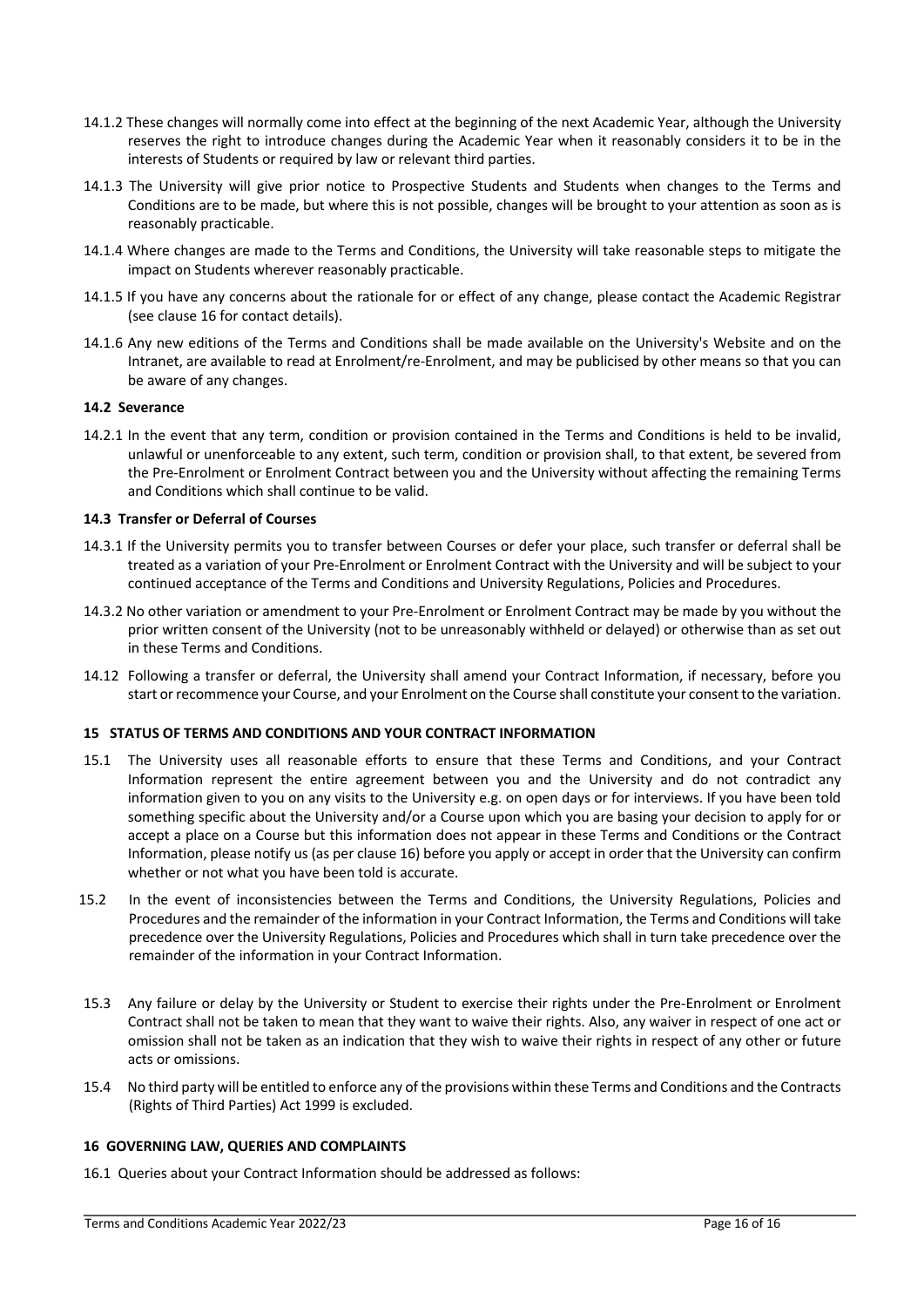- 14.1.2 These changes will normally come into effect at the beginning of the next Academic Year, although the University reserves the right to introduce changes during the Academic Year when it reasonably considers it to be in the interests of Students or required by law or relevant third parties.
- 14.1.3 The University will give prior notice to Prospective Students and Students when changes to the Terms and Conditions are to be made, but where this is not possible, changes will be brought to your attention as soon as is reasonably practicable.
- 14.1.4 Where changes are made to the Terms and Conditions, the University will take reasonable steps to mitigate the impact on Students wherever reasonably practicable.
- 14.1.5 If you have any concerns about the rationale for or effect of any change, please contact the Academic Registrar (see clause 16 for contact details).
- 14.1.6 Any new editions of the Terms and Conditions shall be made available on the University's Website and on the Intranet, are available to read at Enrolment/re-Enrolment, and may be publicised by other means so that you can be aware of any changes.

# **14.2 Severance**

14.2.1 In the event that any term, condition or provision contained in the Terms and Conditions is held to be invalid, unlawful or unenforceable to any extent, such term, condition or provision shall, to that extent, be severed from the Pre-Enrolment or Enrolment Contract between you and the University without affecting the remaining Terms and Conditions which shall continue to be valid.

# **14.3 Transfer or Deferral of Courses**

- 14.3.1 If the University permits you to transfer between Courses or defer your place, such transfer or deferral shall be treated as a variation of your Pre-Enrolment or Enrolment Contract with the University and will be subject to your continued acceptance of the Terms and Conditions and University Regulations, Policies and Procedures.
- 14.3.2 No other variation or amendment to your Pre-Enrolment or Enrolment Contract may be made by you without the prior written consent of the University (not to be unreasonably withheld or delayed) or otherwise than as set out in these Terms and Conditions.
- 14.12 Following a transfer or deferral, the University shall amend your Contract Information, if necessary, before you start or recommence your Course, and your Enrolment on the Course shall constitute your consent to the variation.

# **15 STATUS OF TERMS AND CONDITIONS AND YOUR CONTRACT INFORMATION**

- 15.1 The University uses all reasonable efforts to ensure that these Terms and Conditions, and your Contract Information represent the entire agreement between you and the University and do not contradict any information given to you on any visits to the University e.g. on open days or for interviews. If you have been told something specific about the University and/or a Course upon which you are basing your decision to apply for or accept a place on a Course but this information does not appear in these Terms and Conditions or the Contract Information, please notify us (as per clause 16) before you apply or accept in order that the University can confirm whether or not what you have been told is accurate.
- 15.2 In the event of inconsistencies between the Terms and Conditions, the University Regulations, Policies and Procedures and the remainder of the information in your Contract Information, the Terms and Conditions will take precedence over the University Regulations, Policies and Procedures which shall in turn take precedence over the remainder of the information in your Contract Information.
- 15.3 Any failure or delay by the University or Student to exercise their rights under the Pre-Enrolment or Enrolment Contract shall not be taken to mean that they want to waive their rights. Also, any waiver in respect of one act or omission shall not be taken as an indication that they wish to waive their rights in respect of any other or future acts or omissions.
- 15.4 No third party will be entitled to enforce any of the provisions within these Terms and Conditions and the Contracts (Rights of Third Parties) Act 1999 is excluded.

#### **16 GOVERNING LAW, QUERIES AND COMPLAINTS**

16.1 Queries about your Contract Information should be addressed as follows: